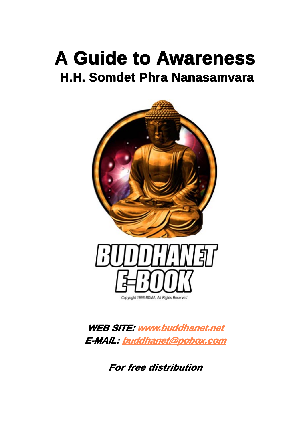# **A Guide to A A Guide to Awareness wareness wareness H.H. Somdet Phra Nanasamvara**



**WEB SITE: WEB SITE: www.buddhanet.net dhanet.net E-MAIL: E-MAIL: buddhanet@pobox.com**

**For free distribution**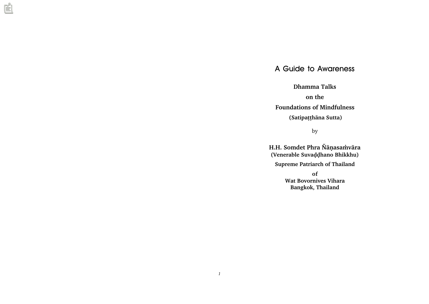# A Guide to Awareness

Dhamma Talks on the Foundations of Mindfulness (Satipaṭṭhāna Sutta)

by

H.H. Somdet Phra Ñāņasamvāra (Venerable Suvaddhano Bhikkhu)

Supreme Patriarch of Thailand

of Wat Bovornives Vihara Bangkok, Thailand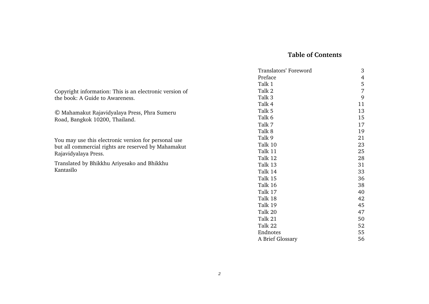# Table of Contents

|                                                                                                             | Translators' Foreword | 3              |
|-------------------------------------------------------------------------------------------------------------|-----------------------|----------------|
|                                                                                                             | Preface               | $\overline{4}$ |
|                                                                                                             | Talk 1                | 5              |
| Copyright information: This is an electronic version of                                                     | Talk 2                | 7              |
| the book: A Guide to Awareness.                                                                             | Talk 3                | 9              |
|                                                                                                             | Talk 4                | 11             |
| © Mahamakut Rajavidyalaya Press, Phra Sumeru                                                                | Talk 5                | 13             |
| Road, Bangkok 10200, Thailand.                                                                              | Talk 6                | 15             |
|                                                                                                             | Talk 7                | 17             |
|                                                                                                             | Talk 8                | 19             |
| You may use this electronic version for personal use<br>but all commercial rights are reserved by Mahamakut | Talk 9                | 21             |
|                                                                                                             | Talk 10               | 23             |
| Rajavidyalaya Press.                                                                                        | Talk 11               | 25             |
|                                                                                                             | Talk 12               | 28             |
| Translated by Bhikkhu Ariyesako and Bhikkhu                                                                 | Talk 13               | 31             |
| Kantasīlo                                                                                                   | Talk 14               | 33             |
|                                                                                                             | Talk 15               | 36             |
|                                                                                                             | Talk 16               | 38             |
|                                                                                                             | Talk 17               | 40             |
|                                                                                                             | Talk 18               | 42             |
|                                                                                                             | Talk 19               | 45             |
|                                                                                                             | Talk 20               | 47             |
|                                                                                                             | Talk 21               | 50             |
|                                                                                                             | Talk 22               | 52             |
|                                                                                                             | Endnotes              | 55             |
|                                                                                                             | A Brief Glossary      | 56             |
|                                                                                                             |                       |                |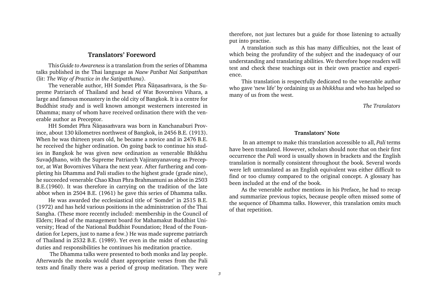## Translators' Foreword

<span id="page-3-0"></span>This Guide to Awareness is a translation from the series of Dhamma talks published in the Thai language as Naew Patibat Nai Satipatthan (lit: The Way of Practice in the Satipatthana).

The venerable author, HH Somdet Phra Ñānasamvara, is the Supreme Patriarch of Thailand and head of Wat Bovornives Vihara, a large and famous monastery in the old city of Bangkok. It is a centre for Buddhist study and is well known amongst westerners interested in Dhamma; many of whom have received ordination there with the venerable author as Preceptor.

HH Somdet Phra Ñānasamvara was born in Kanchanaburi Province, about 130 kilometres northwest of Bangkok, in 2456 B.E. (1913). When he was thirteen years old, he became a novice and in 2476 B.E. he received the higher ordination. On going back to continue his studies in Bangkok he was given new ordination as venerable Bhikkhu Suvaddhano, with the Supreme Patriarch Vajiranyanavong as Preceptor, at Wat Bovornives Vihara the next year. After furthering and completing his Dhamma and Pali studies to the highest grade (grade nine), he succeeded venerable Chao Khun Phra Brahmamuni as abbot in 2503 B.E.(1960). It was therefore in carrying on the tradition of the late abbot when in 2504 B.E. (1961) he gave this series of Dhamma talks.

He was awarded the ecclesiastical title of 'Somdet' in 2515 B.E. (1972) and has held various positions in the administration of the Thai Sangha. (These more recently included: membership in the Council of Elders; Head of the management board for Mahamakut Buddhist University; Head of the National Buddhist Foundation; Head of the Foundation for Lepers, just to name a few.) He was made supreme patriarch of Thailand in 2532 B.E. (1989). Yet even in the midst of exhausting duties and responsibilities he continues his meditation practice.

 The Dhamma talks were presented to both monks and lay people. Afterwards the monks would chant appropriate verses from the Pali texts and finally there was a period of group meditation. They were therefore, not just lectures but a guide for those listening to actually put into practise.

A translation such as this has many difficulties, not the least of which being the profundity of the subject and the inadequacy of our understanding and translating abilities. We therefore hope readers will test and check these teachings out in their own practice and experience.

This translation is respectfully dedicated to the venerable author who gave 'new life' by ordaining us as *bhikkhus* and who has helped so many of us from the west.

The Translators

#### Translators' Note

 In an attempt to make this translation accessible to all, Pali terms have been translated. However, scholars should note that on their first occurrence the Pali word is usually shown in brackets and the English translation is normally consistent throughout the book. Several words were left untranslated as an English equivalent was either difficult to find or too clumsy compared to the original concept. A glossary has been included at the end of the book.

As the venerable author mentions in his Preface, he had to recap and summarize previous topics, because people often missed some of the sequence of Dhamma talks. However, this translation omits much of that repetition.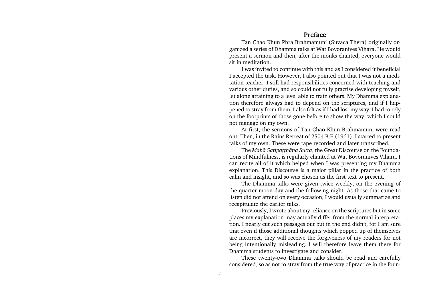#### Preface

<span id="page-4-0"></span>Tan Chao Khun Phra Brahmamuni (Suvaca Thera) originally organized a series of Dhamma talks at Wat Bovoranives Vihara. He would present a sermon and then, after the monks chanted, everyone would sit in meditation.

I was invited to continue with this and as I considered it beneficial I accepted the task. However, I also pointed out that I was not a meditation teacher. I still had responsibilities concerned with teaching and various other duties, and so could not fully practise developing myself, let alone attaining to a level able to train others. My Dhamma explanation therefore always had to depend on the scriptures, and if I happened to stray from them, I also felt as if I had lost my way. I had to rely on the footprints of those gone before to show the way, which I could not manage on my own.

At first, the sermons of Tan Chao Khun Brahmamuni were read out. Then, in the Rains Retreat of 2504 B.E.(1961), I started to present talks of my own. These were tape recorded and later transcribed.

The Mahā Satipatthāna Sutta, the Great Discourse on the Foundations of Mindfulness, is regularly chanted at Wat Bovoranives Vihara. I can recite all of it which helped when I was presenting my Dhamma explanation. This Discourse is a major pillar in the practice of both calm and insight, and so was chosen as the first text to present.

The Dhamma talks were given twice weekly, on the evening of the quarter moon day and the following night. As those that came to listen did not attend on every occasion, I would usually summarize and recapitulate the earlier talks.

Previously, I wrote about my reliance on the scriptures but in some places my explanation may actually differ from the normal interpretation. I nearly cut such passages out but in the end didn't, for I am sure that even if those additional thoughts which popped up of themselves are incorrect, they will receive the forgiveness of my readers for not being intentionally misleading. I will therefore leave them there for Dhamma students to investigate and consider.

These twenty-two Dhamma talks should be read and carefully considered, so as not to stray from the true way of practice in the foun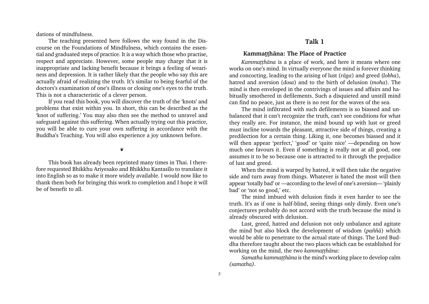<span id="page-5-0"></span>dations of mindfulness.

The teaching presented here follows the way found in the Discourse on the Foundations of Mindfulness, which contains the essential and graduated steps of practice. It is a way which those who practise, respect and appreciate. However, some people may charge that it is inappropriate and lacking benefit because it brings a feeling of weariness and depression. It is rather likely that the people who say this are actually afraid of realizing the truth. It's similar to being fearful of the doctors's examination of one's illness or closing one's eyes to the truth. This is not a characteristic of a clever person.

If you read this book, you will discover the truth of the 'knots' and problems that exist within you. In short, this can be described as the 'knot of suffering.' You may also then see the method to unravel and safeguard against this suffering. When actually trying out this practice, you will be able to cure your own suffering in accordance with the Buddha's Teaching. You will also experience a joy unknown before.

¦

This book has already been reprinted many times in Thai. I therefore requested Bhikkhu Ariyesako and Bhikkhu Kantasãlo to translate it into English so as to make it more widely available. I would now like to thank them both for bringing this work to completion and I hope it will be of benefit to all.

## Talk 1

#### Kammatthāna: The Place of Practice

Kammatthāna is a place of work, and here it means where one works on one's mind. In virtually everyone the mind is forever thinking and concocting, leading to the arising of lust (ràga) and greed (lobha), hatred and aversion (dosa) and to the birth of delusion (moha). The mind is then enveloped in the contrivings of issues and affairs and habitually smothered in defilements. Such a disquieted and unstill mind can find no peace, just as there is no rest for the waves of the sea.

The mind infiltrated with such defilements is so biassed and unbalanced that it can't recognize the truth, can't see conditions for what they really are. For instance, the mind bound up with lust or greed must incline towards the pleasant, attractive side of things, creating a predilection for a certain thing. Liking it, one becomes biassed and it will then appear 'perfect,' 'good' or 'quite nice' —depending on how much one favours it. Even if something is really not at all good, one assumes it to be so because one is attracted to it through the prejudice of lust and greed.

When the mind is warped by hatred, it will then take the negative side and turn away from things. Whatever is hated the most will then appear 'totally bad' or —according to the level of one's aversion— 'plainly bad' or 'not so good,' etc.

The mind imbued with delusion finds it even harder to see the truth. It's as if one is half-blind, seeing things only dimly. Even one's conjectures probably do not accord with the truth because the mind is already obscured with delusion.

Lust, greed, hatred and delusion not only unbalance and agitate the mind but also block the development of wisdom ( $p a \tilde{n} \tilde{a}$ ) which would be able to penetrate to the actual state of things. The Lord Buddha therefore taught about the two places which can be established for working on the mind, the two kammatthāna:

Samatha kammatthāna is the mind's working place to develop calm (samatha).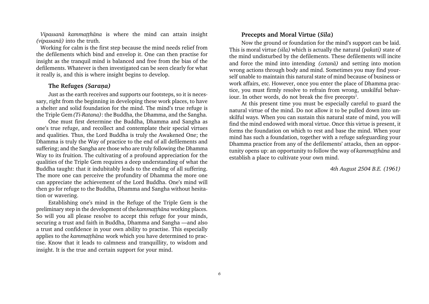Vipassanā kammatthāna is where the mind can attain insight (vipassanà) into the truth.

Working for calm is the first step because the mind needs relief from the defilements which bind and envelop it. One can then practise for insight as the tranquil mind is balanced and free from the bias of the defilements. Whatever is then investigated can be seen clearly for what it really is, and this is where insight begins to develop.

## The Refuges (Sarana)

Just as the earth receives and supports our footsteps, so it is necessary, right from the beginning in developing these work places, to have a shelter and solid foundation for the mind. The mind's true refuge is the Triple Gem (Ti-Ratana): the Buddha, the Dhamma, and the Sangha.

One must first determine the Buddha, Dhamma and Sangha as one's true refuge, and recollect and contemplate their special virtues and qualities. Thus, the Lord Buddha is truly the Awakened One; the Dhamma is truly the Way of practice to the end of all defilements and suffering; and the Sangha are those who are truly following the Dhamma Way to its fruition. The cultivating of a profound appreciation for the qualities of the Triple Gem requires a deep understanding of what the Buddha taught: that it indubitably leads to the ending of all suffering. The more one can perceive the profundity of Dhamma the more one can appreciate the achievement of the Lord Buddha. One's mind will then go for refuge to the Buddha, Dhamma and Sangha without hesitation or wavering.

Establishing one's mind in the Refuge of the Triple Gem is the preliminary step in the development of the kammatthāna working places. So will you all please resolve to accept this refuge for your minds, securing a trust and faith in Buddha, Dhamma and Sangha —and also a trust and confidence in your own ability to practise. This especially applies to the kammatthāna work which you have determined to practise. Know that it leads to calmness and tranquillity, to wisdom and insight. It is the true and certain support for your mind.

#### Precepts and Moral Virtue (Sīla)

Now the ground or foundation for the mind's support can be laid. This is moral virtue (sīla) which is actually the natural (pakati) state of the mind undisturbed by the defilements. These defilements will incite and force the mind into intending (cetanà) and setting into motion wrong actions through body and mind. Sometimes you may find yourself unable to maintain this natural state of mind because of business or work affairs, etc. However, once you enter the place of Dhamma practice, you must firmly resolve to refrain from wrong, unskilful behaviour. In other words, do not break the five precepts<sup>1</sup>.

At this present time you must be especially careful to guard the natural virtue of the mind. Do not allow it to be pulled down into unskilful ways. When you can sustain this natural state of mind, you will find the mind endowed with moral virtue. Once this virtue is present, it forms the foundation on which to rest and base the mind. When your mind has such a foundation, together with a refuge safeguarding your Dhamma practice from any of the defilements' attacks, then an opportunity opens up: an opportunity to follow the way of kammatthāna and establish a place to cultivate your own mind.

4th August 2504 B.E. (1961)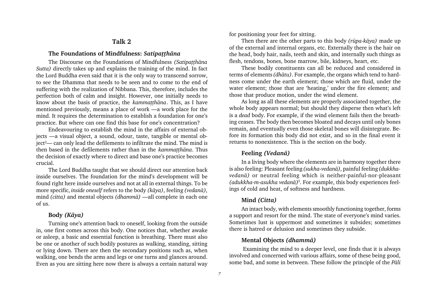## Talk 2

#### The Foundations of Mindfulness: Satipatthāna

<span id="page-7-0"></span>The Discourse on the Foundations of Mindfulness (Satipatthāna Sutta) directly takes up and explains the training of the mind. In fact the Lord Buddha even said that it is the only way to transcend sorrow, to see the Dhamma that needs to be seen and to come to the end of suffering with the realization of Nibbana. This, therefore, includes the perfection both of calm and insight. However, one initially needs to know about the basis of practice, the kammatthāna. This, as I have mentioned previously, means a place of work —a work place for the mind. It requires the determination to establish a foundation for one's practice. But where can one find this base for one's concentration?

Endeavouring to establish the mind in the affairs of external objects —a visual object, a sound, odour, taste, tangible or mental object<sup>2</sup>— can only lead the defilements to infiltrate the mind. The mind is then based in the defilements rather than in the *kammatthāna*. Thus the decision of exactly where to direct and base one's practice becomes crucial.

The Lord Buddha taught that we should direct our attention back inside ourselves. The foundation for the mind's development will be found right here inside ourselves and not at all in external things. To be more specific, inside oneself refers to the body (kàya), feeling (vedanà), mind (citta) and mental objects (dhammā) —all complete in each one of us.

#### Body (Kàya)

Turning one's attention back to oneself, looking from the outside in, one first comes across this body. One notices that, whether awake or asleep, a basic and essential function is breathing. There must also be one or another of such bodily postures as walking, standing, sitting or lying down. There are then the secondary positions such as, when walking, one bends the arms and legs or one turns and glances around. Even as you are sitting here now there is always a certain natural way for positioning your feet for sitting.

Then there are the other parts to this body (rūpa-kāya) made up of the external and internal organs, etc. Externally there is the hair on the head, body hair, nails, teeth and skin, and internally such things as flesh, tendons, bones, bone marrow, bile, kidneys, heart, etc.

These bodily constituents can all be reduced and considered in terms of elements (dhàtu). For example, the organs which tend to hardness come under the earth element; those which are fluid, under the water element; those that are 'heating,' under the fire element; and those that produce motion, under the wind element.

As long as all these elements are properly associated together, the whole body appears normal; but should they disperse then what's left is a dead body. For example, if the wind element fails then the breathing ceases. The body then becomes bloated and decays until only bones remain, and eventually even those skeletal bones will disintegrate. Before its formation this body did not exist, and so in the final event it returns to nonexistence. This is the section on the body.

#### Feeling (Vedanà)

In a living body where the elements are in harmony together there is also feeling: Pleasant feeling (sukha-vedanà), painful feeling (dukkhavedanà) or neutral feeling which is neither-painful-nor-pleasant  $(adukkha-m-asukha vedanā)<sup>3</sup>$ . For example, this body experiences feelings of cold and heat, of softness and hardness.

#### Mind (Citta)

An intact body, with elements smoothly functioning together, forms a support and resort for the mind. The state of everyone's mind varies. Sometimes lust is uppermost and sometimes it subsides; sometimes there is hatred or delusion and sometimes they subside.

#### Mental Objects (dhammà)

 Examining the mind to a deeper level, one finds that it is always involved and concerned with various affairs, some of these being good, some bad, and some in between. These follow the principle of the Pāli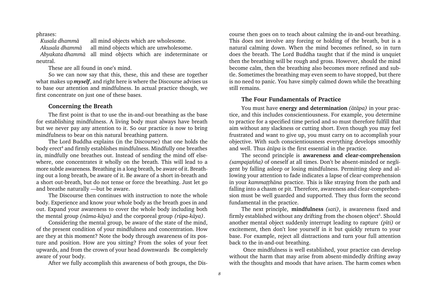phrases:

Kusala dhammà all mind objects which are wholesome.

Akusala dhammà all mind objects which are unwholesome. Abyakata dhammà all mind objects which are indeterminate or neutral.

These are all found in one's mind.

So we can now say that this, these, this and these are together what makes up *myself*, and right here is where the Discourse advises us to base our attention and mindfulness. In actual practice though, we first concentrate on just one of these bases.

#### Concerning the Breath

The first point is that to use the in-and-out breathing as the base for establishing mindfulness. A living body must always have breath but we never pay any attention to it. So our practice is now to bring mindfulness to bear on this natural breathing pattern.

The Lord Buddha explains (in the Discourse) that one holds the body erect<sup>4</sup> and firmly establishes mindfulness. Mindfully one breathes in, mindfully one breathes out. Instead of sending the mind off elsewhere, one concentrates it wholly on the breath. This will lead to a more subtle awareness. Breathing in a long breath, be aware of it. Breathing out a long breath, be aware of it. Be aware of a short in-breath and a short out-breath, but do not tense or force the breathing. Just let go and breathe naturally - but be aware.

The Discourse then continues with instruction to note the whole body. Experience and know your whole body as the breath goes in and out. Expand your awareness to cover the whole body including both the mental group (nàma-kàya) and the corporeal group (råpa-kàya).

Considering the mental group, be aware of the state of the mind, of the present condition of your mindfulness and concentration. How are they at this moment? Note the body through awareness of its posture and position. How are you sitting? From the soles of your feet upwards, and from the crown of your head downwards Be completely aware of your body.

After we fully accomplish this awareness of both groups, the Dis-

course then goes on to teach about calming the in-and-out breathing. This does not involve any forcing or holding of the breath, but is a natural calming down. When the mind becomes refined, so in turn does the breath. The Lord Buddha taught that if the mind is unquiet then the breathing will be rough and gross. However, should the mind become calm, then the breathing also becomes more refined and subtle. Sometimes the breathing may even seem to have stopped, but there is no need to panic. You have simply calmed down while the breathing still remains.

#### The Four Fundamentals of Practice

You must have energy and determination *(atapa)* in your practice, and this includes conscientiousness. For example, you determine to practice for a specified time period and so must therefore fulfill that aim without any slackness or cutting short. Even though you may feel frustrated and want to give up, you must carry on to accomplish your objective. With such conscientiousness everything develops smoothly and well. Thus àtàpa is the first essential in the practice.

The second principle is awareness and clear-comprehension (sampajañña) of oneself at all times. Don't be absent-minded or negligent by falling asleep or losing mindfulness. Permitting sleep and allowing your attention to fade indicates a lapse of clear-comprehension in your kammatthāna practice. This is like straying from the path and falling into a chasm or pit. Therefore, awareness and clear-comprehension must be well guarded and supported. They thus form the second fundamental in the practice.

The next principle, mindfulness (sati), is awareness fixed and firmly established without any drifting from the chosen object<sup>5</sup>. Should another mental object suddenly interrupt leading to rapture (pīti) or excitement, then don't lose yourself in it but quickly return to your base. For example, reject all distractions and turn your full attention back to the in-and-out breathing.

 Once mindfulness is well established, your practice can develop without the harm that may arise from absent-mindedly drifting away with the thoughts and moods that have arisen. The harm comes when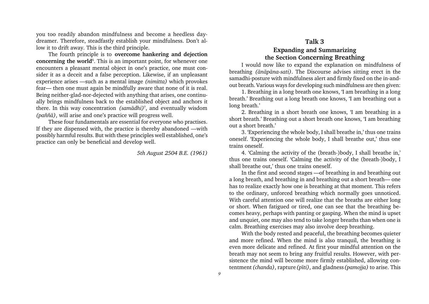<span id="page-9-0"></span>you too readily abandon mindfulness and become a heedless daydreamer. Therefore, steadfastly establish your mindfulness. Don't allow it to drift away. This is the third principle.

The fourth principle is to overcome hankering and dejection concerning the world<sup>6</sup>. This is an important point, for whenever one encounters a pleasant mental object in one's practice, one must consider it as a deceit and a false perception. Likewise, if an unpleasant experience arises —such as a mental image (nimitta) which provokes fear— then one must again be mindfully aware that none of it is real. Being neither-glad-nor-dejected with anything that arises, one continually brings mindfulness back to the established object and anchors it there. In this way concentration (samādhi)<sup>7</sup>, and eventually wisdom  $(\text{p}a\tilde{n}\tilde{a})$ , will arise and one's practice will progress well.

These four fundamentals are essential for everyone who practises. If they are dispensed with, the practice is thereby abandoned —with possibly harmful results. But with these principles well established, one's practice can only be beneficial and develop well.

5th August 2504 B.E. (1961)

## Talk 3 Expanding and Summarizing the Section Concerning Breathing

I would now like to expand the explanation on mindfulness of breathing (ànàpàna-sati). The Discourse advises sitting erect in the samadhi-posture with mindfulness alert and firmly fixed on the in-andout breath. Various ways for developing such mindfulness are then given:

1. Breathing in a long breath one knows, 'I am breathing in a long breath.' Breathing out a long breath one knows, 'I am breathing out a long breath.

2. Breathing in a short breath one knows, 'I am breathing in a short breath.' Breathing out a short breath one knows, 'I am breathing out a short breath.

3. Experiencing the whole body, I shall breathe in,' thus one trains oneself. Experiencing the whole body, I shall breathe out,' thus one trains oneself.

4. Calming the activity of the (breath-)body, I shall breathe in, thus one trains oneself. Calming the activity of the (breath-)body, I shall breathe out,' thus one trains oneself.

In the first and second stages — of breathing in and breathing out a long breath, and breathing in and breathing out a short breath— one has to realize exactly how one is breathing at that moment. This refers to the ordinary, unforced breathing which normally goes unnoticed. With careful attention one will realize that the breaths are either long or short. When fatigued or tired, one can see that the breathing becomes heavy, perhaps with panting or gasping. When the mind is upset and unquiet, one may also tend to take longer breaths than when one is calm. Breathing exercises may also involve deep breathing.

With the body rested and peaceful, the breathing becomes quieter and more refined. When the mind is also tranquil, the breathing is even more delicate and refined. At first your mindful attention on the breath may not seem to bring any fruitful results. However, with persistence the mind will become more firmly established, allowing contentment (chanda), rapture ( $p\bar{t}t$ ), and gladness ( $pamojja$ ) to arise. This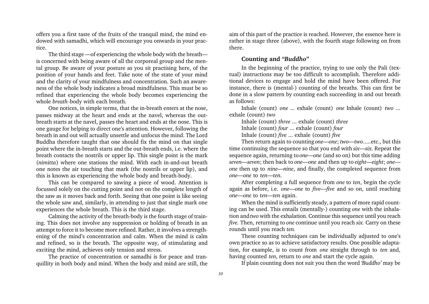offers you a first taste of the fruits of the tranquil mind, the mind endowed with samadhi, which will encourage you onwards in your practice.

The third stage  $-$  of experiencing the whole body with the breath $$ is concerned with being aware of all the corporeal group and the mental group. Be aware of your posture as you sit practising here, of the position of your hands and feet. Take note of the state of your mind and the clarity of your mindfulness and concentration. Such an awareness of the whole body indicates a broad mindfulness. This must be so refined that experiencing the whole body becomes experiencing the whole breath-body with each breath.

One notices, in simple terms, that the in-breath enters at the nose, passes midway at the heart and ends at the navel, whereas the outbreath starts at the navel, passes the heart and ends at the nose. This is one gauge for helping to direct one's attention. However, following the breath in and out will actually unsettle and unfocus the mind. The Lord Buddha therefore taught that one should fix the mind on that single point where the in-breath starts and the out-breath ends, i.e. where the breath contacts the nostrils or upper lip. This single point is the mark (nimitta) where one stations the mind. With each in-and-out breath one notes the air touching that mark (the nostrils or upper lip), and this is known as experiencing the whole body and breath-body.

This can be compared to sawing a piece of wood. Attention is focussed solely on the cutting point and not on the complete length of the saw as it moves back and forth. Seeing that one point is like seeing the whole saw and, similarly, in attending to just that single mark one experiences the whole breath. This is the third stage.

Calming the activity of the breath-body is the fourth stage of training. This does not involve any suppression or holding of breath in an attempt to force it to become more refined. Rather, it involves a strengthening of the mind's concentration and calm. When the mind is calm and refined, so is the breath. The opposite way, of stimulating and exciting the mind, achieves only tension and stress.

The practice of concentration or samadhi is for peace and tranquillity in both body and mind. When the body and mind are still, the aim of this part of the practice is reached. However, the essence here is rather in stage three (above), with the fourth stage following on from there.

#### Counting and "Buddho"

In the beginning of the practice, trying to use only the Pali (textual) instructions may be too difficult to accomplish. Therefore additional devices to engage and hold the mind have been offered. For instance, there is (mental-) counting of the breaths. This can first be done in a slow pattern by counting each succeeding in and out breath as follows:

Inhale (count) one ... exhale (count) one Inhale (count) two ... exhale (count) two

Inhale (count) three ... exhale (count) three Inhale (count) four ... exhale (count) four

Inhale (count) five ... exhale (count) five

Then return again to counting one—one; two—two.....etc., but this time continuing the sequence so that you end with  $six-six$ . Repeat the sequence again, returning to one—one (and so on) but this time adding seven-seven; then back to one-one and then up to eight-eight; oneone then up to nine—nine, and finally, the completed sequence from one-one to ten-ten.

After completing a full sequence from one to ten, begin the cycle again as before, i.e. one—one to five—five and so on, until reaching one—one to ten—ten again.

When the mind is sufficiently steady, a pattern of more rapid counting can be used. This entails (mentally-) counting one with the inhalation and two with the exhalation. Continue this sequence until you reach five. Then, returning to one continue until you reach six. Carry on these rounds until you reach ten.

These counting techniques can be individually adjusted to one's own practice so as to achieve satisfactory results. One possible adaptation, for example, is to count from one straight through to ten and, having counted ten, return to one and start the cycle again.

If plain counting does not suit you then the word 'Buddho' may be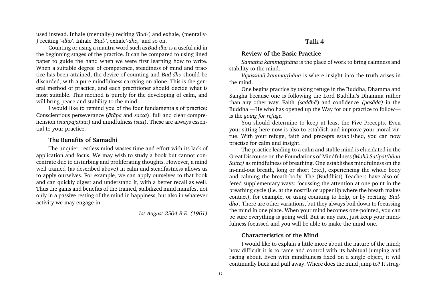<span id="page-11-0"></span>used instead. Inhale (mentally-) reciting 'Bud-', and exhale, (mentally-) reciting '-dho'. Inhale 'Bud-', exhale'-dho,' and so on.

Counting or using a mantra word such as Bud-dho is a useful aid in the beginning stages of the practice. It can be compared to using lined paper to guide the hand when we were first learning how to write. When a suitable degree of competence, steadiness of mind and practice has been attained, the device of counting and Bud-dho should be discarded, with a pure mindfulness carrying on alone. This is the general method of practice, and each practitioner should decide what is most suitable. This method is purely for the developing of calm, and will bring peace and stability to the mind.

I would like to remind you of the four fundamentals of practice: Conscientious perseverance (àtàpa and sacca), full and clear comprehension (sampaja $\tilde{n}$ a) and mindfulness (sati). These are always essential to your practice.

## The Benefits of Samadhi

The unquiet, restless mind wastes time and effort with its lack of application and focus. We may wish to study a book but cannot concentrate due to disturbing and proliferating thoughts. However, a mind well trained (as described above) in calm and steadfastness allows us to apply ourselves. For example, we can apply ourselves to that book and can quickly digest and understand it, with a better recall as well. Thus the gains and benefits of the trained, stabilized mind manifest not only in a passive resting of the mind in happiness, but also in whatever activity we may engage in.

1st August 2504 B.E. (1961)

## Talk 4

#### Review of the Basic Practice

Samatha kammatthāna is the place of work to bring calmness and stability to the mind.

Vipassanā kammatthāna is where insight into the truth arises in the mind.

One begins practice by taking refuge in the Buddha, Dhamma and Sangha because one is following the Lord Buddha's Dhamma rather than any other way. Faith (saddhà) and confidence (pasàda) in the Buddha —He who has opened up the Way for our practice to follow is the going for refuge.

You should determine to keep at least the Five Precepts. Even your sitting here now is also to establish and improve your moral virtue. With your refuge, faith and precepts established, you can now practise for calm and insight.

The practice leading to a calm and stable mind is elucidated in the Great Discourse on the Foundations of Mindfulness (Mahā Satipatthāna Sutta) as mindfulness of breathing. One establishes mindfulness on the in-and-out breath, long or short (etc.), experiencing the whole body and calming the breath-body. The (Buddhist) Teachers have also offered supplementary ways: focussing the attention at one point in the breathing cycle (i.e. at the nostrils or upper lip where the breath makes contact), for example, or using counting to help, or by reciting 'Buddho'. There are other variations, but they always boil down to focussing the mind in one place. When your mind becomes one-pointed, you can be sure everything is going well. But at any rate, just keep your mindfulness focussed and you will be able to make the mind one.

#### Characteristics of the Mind

I would like to explain a little more about the nature of the mind; how difficult it is to tame and control with its habitual jumping and racing about. Even with mindfulness fixed on a single object, it will continually buck and pull away. Where does the mind jump to? It strug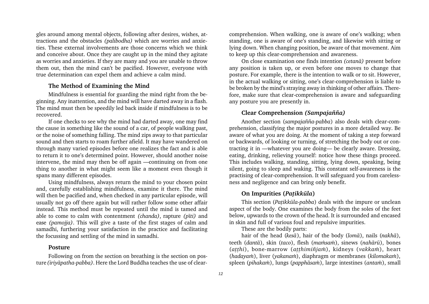gles around among mental objects, following after desires, wishes, attractions and the obstacles (palibodha) which are worries and anxieties. These external involvements are those concerns which we think and conceive about. Once they are caught up in the mind they agitate as worries and anxieties. If they are many and you are unable to throw them out, then the mind can't be pacified. However, everyone with true determination can expel them and achieve a calm mind.

#### The Method of Examining the Mind

Mindfulness is essential for guarding the mind right from the beginning. Any inattention, and the mind will have darted away in a flash. The mind must then be speedily led back inside if mindfulness is to be recovered.

If one checks to see why the mind had darted away, one may find the cause in something like the sound of a car, of people walking past, or the noise of something falling. The mind zips away to that particular sound and then starts to roam further afield. It may have wandered on through many varied episodes before one realizes the fact and is able to return it to one's determined point. However, should another noise intervene, the mind may then be off again —continuing on from one thing to another in what might seem like a moment even though it spans many different episodes.

Using mindfulness, always return the mind to your chosen point and, carefully establishing mindfulness, examine it there. The mind will then be pacified and, when checked in any particular episode, will usually not go off there again but will rather follow some other affair instead. This method must be repeated until the mind is tamed and able to come to calm with contentment (chanda), rapture (pīti) and ease (pamojja). This will give a taste of the first stages of calm and samadhi, furthering your satisfaction in the practice and facilitating the focussing and settling of the mind in samadhi.

#### Posture

Following on from the section on breathing is the section on posture (iriyàpatha-pabba). Here the Lord Buddha teaches the use of clearcomprehension. When walking, one is aware of one's walking; when standing, one is aware of one's standing, and likewise with sitting or lying down. When changing position, be aware of that movement. Aim to keep up this clear-comprehension and awareness.

On close examination one finds intention (cetanà) present before any position is taken up, or even before one moves to change that posture. For example, there is the intention to walk or to sit. However, in the actual walking or sitting, one's clear-comprehension is liable to be broken by the mind's straying away in thinking of other affairs. Therefore, make sure that clear-comprehension is aware and safeguarding any posture you are presently in.

#### Clear Comprehension (Sampajañña)

Another section (sampajañña-pabba) also deals with clear-comprehension, classifying the major postures in a more detailed way. Be aware of what you are doing. At the moment of taking a step forward or backwards, of looking or turning, of stretching the body out or contracting it in —whatever you are doing— be clearly aware. Dressing, eating, drinking, relieving yourself: notice how these things proceed. This includes walking, standing, sitting, lying down, speaking, being silent, going to sleep and waking. This constant self-awareness is the practising of clear-comprehension. It will safeguard you from carelessness and negligence and can bring only benefit.

#### On Impurities (Patikkūla)

This section (Patikkūla-pabba) deals with the impure or unclean aspect of the body. One examines the body from the soles of the feet below, upwards to the crown of the head. It is surrounded and encased in skin and full of various foul and repulsive impurities.

These are the bodily parts:

hair of the head (kesà), hair of the body (lomà), nails (nakhà), teeth (dantā), skin (taco), flesh (mamsam), sinews (nahārū), bones (atthi), bone-marrow (atthimiñjam), kidneys (vakkam), heart  $(hadayam)$ , liver (yakanam), diaphragm or membranes (kilomakam), spleen (pihakam), lungs (papphāsam), large intestines (antam), small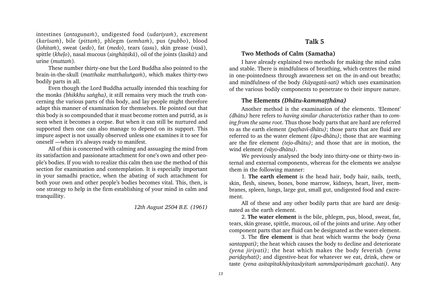<span id="page-13-0"></span>intestines (antagunam), undigested food (udarivam), excrement (karīsam), bile (pittam), phlegm (semham), pus (pubbo), blood (lohitam), sweat (sedo), fat (medo), tears (assu), skin grease (vasā), spittle (khelo), nasal mucous (singhānikā), oil of the joints (lasikā) and urine (muttam).

These number thirty-one but the Lord Buddha also pointed to the brain-in-the-skull (matthake matthalungam), which makes thirty-two bodily parts in all.

Even though the Lord Buddha actually intended this teaching for the monks (bhikkhu saṅgha), it still remains very much the truth concerning the various parts of this body, and lay people might therefore adapt this manner of examination for themselves. He pointed out that this body is so compounded that it must become rotten and putrid, as is seen when it becomes a corpse. But when it can still be nurtured and supported then one can also manage to depend on its support. This impure aspect is not usually observed unless one examines it to see for oneself —when it's always ready to manifest.

All of this is concerned with calming and assuaging the mind from its satisfaction and passionate attachment for one's own and other people's bodies. If you wish to realize this calm then use the method of this section for examination and contemplation. It is especially important in your samadhi practice, when the abating of such attachment for both your own and other people's bodies becomes vital. This, then, is one strategy to help in the firm establishing of your mind in calm and tranquillity.

12th August 2504 B.E. (1961)

## Talk 5

#### Two Methods of Calm (Samatha)

I have already explained two methods for making the mind calm and stable. There is mindfulness of breathing, which centres the mind in one-pointedness through awareness set on the in-and-out breaths; and mindfulness of the body (kàyagatà-sati) which uses examination of the various bodily components to penetrate to their impure nature.

#### The Elements (Dhātu-kammatthāna)

Another method is the examination of the elements. 'Element' (dhàtu) here refers to having similar characteristics rather than to coming from the same root. Thus those body parts that are hard are referred to as the earth element (pathavī-dhātu); those parts that are fluid are referred to as the water element (àpo-dhàtu); those that are warming are the fire element (tejo-dhàtu); and those that are in motion, the wind element (vàyo-dhàtu).

We previously analysed the body into thirty-one or thirty-two internal and external components, whereas for the elements we analyse them in the following manner:

1. The earth element is the head hair, body hair, nails, teeth, skin, flesh, sinews, bones, bone marrow, kidneys, heart, liver, membranes, spleen, lungs, large gut, small gut, undigested food and excrement.

All of these and any other bodily parts that are hard are designated as the earth element.

2. The water element is the bile, phlegm, pus, blood, sweat, fat, tears, skin grease, spittle, mucous, oil of the joints and urine. Any other component parts that are fluid can be designated as the water element.

3. The fire element is that heat which warms the body (yena santappati); the heat which causes the body to decline and deteriorate (yena jiriyati); the heat which makes the body feverish (yena paridayhati); and digestive-heat for whatever we eat, drink, chew or taste (yena asitapītakhāyitasāyitam sammāparināmam gacchati). Any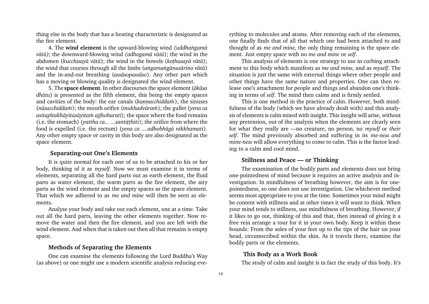thing else in the body that has a heating characteristic is designated as the fire element.

4. The wind element is the upward-blowing wind (uddhangama)  $v\bar{a}t\bar{a}$ ); the downward-blowing wind (adhogam $\bar{a}$  v $\bar{a}t\bar{a}$ ); the wind in the abdomen (kucchisayā vātā); the wind in the bowels (kothasayā vātā); the wind that courses through all the limbs (angamanganusarino vata) and the in-and-out breathing (assàsopassàso). Any other part which has a moving or blowing quality is designated the wind element.

5. The space element. In other discourses the space element ( $\bar{a}$ kāsa dhàtu) is presented as the fifth element, this being the empty spaces and cavities of the body: the ear canals ( $kannacchidd$ am); the sinuses  $(n\bar{a}sacchiddam)$ ; the mouth orifice  $(mukhadv\bar{a}ram)$ ; the gullet (yena ca asitapītakhāyitasāyitam ajjhoharati); the space where the food remains  $(i.e.$  the stomach) (yattha ca... ...santitthiti); the orifice from where the food is expelled (i.e. the rectum) (yena ca ....adhobhàgà nikkhamati). Any other empty space or cavity in this body are also designated as the space element.

#### Separating-out One's Elements

It is quite normal for each one of us to be attached to his or her body, thinking of it as myself. Now we must examine it in terms of elements, separating all the hard parts out as earth element, the fluid parts as water element, the warm parts as the fire element, the airy parts as the wind element and the empty spaces as the space element. That which we adhered to as me and mine will then be seen as elements.

Analyse your body and take out each element, one at a time. Take out all the hard parts, leaving the other elements together. Now remove the water and then the fire element, and you are left with the wind element. And when that is taken out then all that remains is empty space.

#### Methods of Separating the Elements

One can examine the elements following the Lord Buddha's Way (as above) or one might use a modern scientific analysis reducing everything to molecules and atoms. After removing each of the elements, one finally finds that of all that which one had been attached to and thought of as me and mine, the only thing remaining is the space element. Just empty space with no me and mine or self.

This analysis of elements is one strategy to use in curbing attachment to this body which manifests as me and mine, and as myself. The situation is just the same with external things where other people and other things have the same nature and properties. One can then release one's attachment for people and things and abandon one's thinking in terms of self. The mind then calms and is firmly settled.

This is one method in the practice of calm. However, both mindfulness of the body (which we have already dealt with) and this analysis of elements is calm mixed with insight. This insight will arise, without any pretension, out of the analysis when the elements are clearly seen for what they really are  $-$ no creature, no person, no myself or their self. The mind previously absorbed and suffering in its me-ness and mine-ness will allow everything to come to calm. This is the factor leading to a calm and cool mind.

#### Stillness and Peace — or Thinking

The examination of the bodily parts and elements does not bring one-pointedness of mind because it requires an active analysis and investigation. In mindfulness of breathing however, the aim is for onepointedness, so one does not use investigation. Use whichever method seems most appropriate to you at the time. Sometimes your mind might be content with stillness and at other times it will want to think. When your mind tends to stillness, use mindfulness of breathing. However, if it likes to go out, thinking of this and that, then instead of giving it a free rein arrange a tour for it in your own body. Keep it within these bounds: From the soles of your feet up to the tips of the hair on your head, circumscribed within the skin. As it travels there, examine the bodily parts or the elements.

#### This Body as a Work Book

The study of calm and insight is in fact the study of this body. It's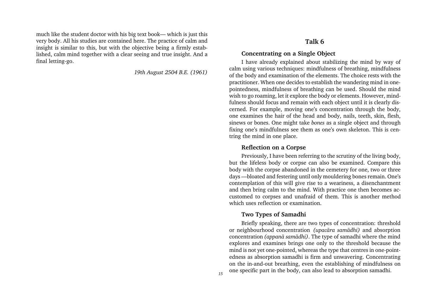<span id="page-15-0"></span>much like the student doctor with his big text book— which is just this very body. All his studies are contained here. The practice of calm and insight is similar to this, but with the objective being a firmly established, calm mind together with a clear seeing and true insight. And a final letting-go.

19th August 2504 B.E. (1961)

## Talk 6

#### Concentrating on a Single Object

I have already explained about stabilizing the mind by way of calm using various techniques: mindfulness of breathing, mindfulness of the body and examination of the elements. The choice rests with the practitioner. When one decides to establish the wandering mind in onepointedness, mindfulness of breathing can be used. Should the mind wish to go roaming, let it explore the body or elements. However, mindfulness should focus and remain with each object until it is clearly discerned. For example, moving one's concentration through the body, one examines the hair of the head and body, nails, teeth, skin, flesh, sinews or bones. One might take bones as a single object and through fixing one's mindfulness see them as one's own skeleton. This is centring the mind in one place.

#### Reflection on a Corpse

Previously, I have been referring to the scrutiny of the living body, but the lifeless body or corpse can also be examined. Compare this body with the corpse abandoned in the cemetery for one, two or three days —bloated and festering until only mouldering bones remain. One's contemplation of this will give rise to a weariness, a disenchantment and then bring calm to the mind. With practice one then becomes accustomed to corpses and unafraid of them. This is another method which uses reflection or examination.

### Two Types of Samadhi

Briefly speaking, there are two types of concentration: threshold or neighbourhood concentration (upacàra samàdhi) and absorption concentration (appanà samàdhi). The type of samadhi where the mind explores and examines brings one only to the threshold because the mind is not yet one-pointed, whereas the type that centres in one-pointedness as absorption samadhi is firm and unwavering. Concentrating on the in-and-out breathing, even the establishing of mindfulness on one specific part in the body, can also lead to absorption samadhi.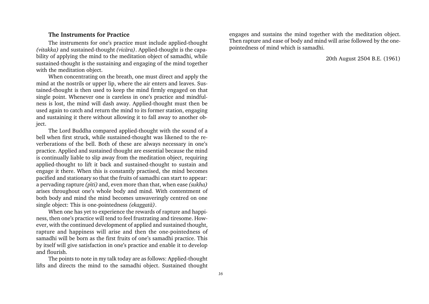## The Instruments for Practice

The instruments for one's practice must include applied-thought (vitakka) and sustained-thought (vicàra). Applied-thought is the capability of applying the mind to the meditation object of samadhi, while sustained-thought is the sustaining and engaging of the mind together with the meditation object.

When concentrating on the breath, one must direct and apply the mind at the nostrils or upper lip, where the air enters and leaves. Sustained-thought is then used to keep the mind firmly engaged on that single point. Whenever one is careless in one's practice and mindfulness is lost, the mind will dash away. Applied-thought must then be used again to catch and return the mind to its former station, engaging and sustaining it there without allowing it to fall away to another object.

The Lord Buddha compared applied-thought with the sound of a bell when first struck, while sustained-thought was likened to the reverberations of the bell. Both of these are always necessary in one's practice. Applied and sustained thought are essential because the mind is continually liable to slip away from the meditation object, requiring applied-thought to lift it back and sustained-thought to sustain and engage it there. When this is constantly practised, the mind becomes pacified and stationary so that the fruits of samadhi can start to appear: a pervading rapture ( $p\bar{t}t$ ) and, even more than that, when ease (sukha) arises throughout one's whole body and mind. With contentment of both body and mind the mind becomes unwaveringly centred on one single object: This is one-pointedness (ekaggatà).

When one has yet to experience the rewards of rapture and happiness, then one's practice will tend to feel frustrating and tiresome. However, with the continued development of applied and sustained thought, rapture and happiness will arise and then the one-pointedness of samadhi will be born as the first fruits of one's samadhi practice. This by itself will give satisfaction in one's practice and enable it to develop and flourish.

The points to note in my talk today are as follows: Applied-thought lifts and directs the mind to the samadhi object. Sustained thought engages and sustains the mind together with the meditation object. Then rapture and ease of body and mind will arise followed by the onepointedness of mind which is samadhi.

20th August 2504 B.E. (1961)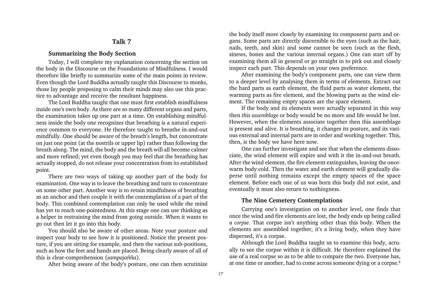## Talk 7

#### Summarizing the Body Section

<span id="page-17-0"></span>Today, I will complete my explanation concerning the section on the body in the Discourse on the Foundations of Mindfulness. I would therefore like briefly to summarize some of the main points in review. Even though the Lord Buddha actually taught this Discourse to monks, those lay people proposing to calm their minds may also use this practice to advantage and receive the resultant happiness.

The Lord Buddha taught that one must first establish mindfulness inside one's own body. As there are so many different organs and parts, the examination takes up one part at a time. On establishing mindfulness inside the body one recognizes that breathing is a natural experience common to everyone. He therefore taught to breathe in-and-out mindfully. One should be aware of the breath's length, but concentrate on just one point (at the nostrils or upper lip) rather than following the breath along. The mind, the body and the breath will all become calmer and more refined; yet even though you may feel that the breathing has actually stopped, do not release your concentration from its established point.

There are two ways of taking up another part of the body for examination. One way is to leave the breathing and turn to concentrate on some other part. Another way is to retain mindfulness of breathing as an anchor and then couple it with the contemplation of a part of the body. This combined contemplation can only be used while the mind has yet to reach one-pointedness. At this stage one can use thinking as a helper in restraining the mind from going outside. When it wants to go out then let it go into this body.

You should also be aware of other areas. Note your posture and inspect your body to see how it is positioned. Notice the present posture, if you are sitting for example, and then the various sub-positions, such as how the feet and hands are placed. Being clearly aware of all of this is clear-comprehension (sampajañña).

After being aware of the body's posture, one can then scrutinize

the body itself more closely by examining its component parts and organs. Some parts are directly discernible to the eyes (such as the hair, nails, teeth, and skin) and some cannot be seen (such as the flesh, sinews, bones and the various internal organs.) One can start off by examining them all in general or go straight in to pick out and closely inspect each part. This depends on your own preference.

After examining the body's component parts, one can view them to a deeper level by analysing them in terms of elements. Extract out the hard parts as earth element, the fluid parts as water element, the warming parts as fire element, and the blowing parts as the wind element. The remaining empty spaces are the space element.

If the body and its elements were actually separated in this way then this assemblage or body would be no more and life would be lost. However, when the elements associate together then this assemblage is present and alive. It is breathing, it changes its posture, and its various external and internal parts are in order and working together. This, then, is the body we have here now.

One can further investigate and see that when the elements dissociate, the wind element will expire and with it the in-and-out breath. After the wind element, the fire element extinguishes, leaving the oncewarm body cold. Then the water and earth element will gradually disperse until nothing remains except the empty spaces of the space element. Before each one of us was born this body did not exist, and eventually it must also return to nothingness.

#### The Nine Cemetery Contemplations

Carrying one's investigation on to another level, one finds that once the wind and fire elements are lost, the body ends up being called a corpse. That corpse isn't anything other than this body. When the elements are assembled together, it's a living body, when they have dispersed, it's a corpse.

Although the Lord Buddha taught us to examine this body, actually to see the corpse within it is difficult. He therefore explained the use of a real corpse so as to be able to compare the two. Everyone has, at one time or another, had to come across someone dying or a corpse.8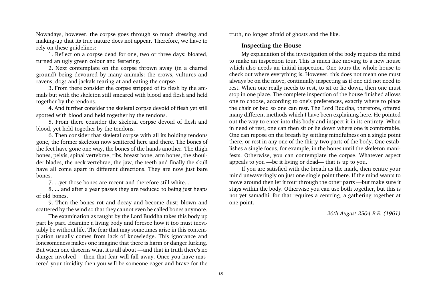Nowadays, however, the corpse goes through so much dressing and making-up that its true nature does not appear. Therefore, we have to rely on these guidelines:

1. Reflect on a corpse dead for one, two or three days: bloated, turned an ugly green colour and festering.

2. Next contemplate on the corpse thrown away (in a charnel ground) being devoured by many animals: the crows, vultures and ravens, dogs and jackals tearing at and eating the corpse.

3. From there consider the corpse stripped of its flesh by the animals but with the skeleton still smeared with blood and flesh and held together by the tendons.

4. And further consider the skeletal corpse devoid of flesh yet still spotted with blood and held together by the tendons.

5. From there consider the skeletal corpse devoid of flesh and blood, yet held together by the tendons.

6. Then consider that skeletal corpse with all its holding tendons gone, the former skeleton now scattered here and there. The bones of the feet have gone one way, the bones of the hands another. The thigh bones, pelvis, spinal vertebrae, ribs, breast bone, arm bones, the shoulder blades, the neck vertebrae, the jaw, the teeth and finally the skull have all come apart in different directions. They are now just bare bones.

7. ...yet those bones are recent and therefore still white...

8. ... and after a year passes they are reduced to being just heaps of old bones.

9. Then the bones rot and decay and become dust; blown and scattered by the wind so that they cannot even be called bones anymore.

The examination as taught by the Lord Buddha takes this body up part by part. Examine a living body and foresee how it too must inevitably be without life. The fear that may sometimes arise in this contemplation usually comes from lack of knowledge. This ignorance and lonesomeness makes one imagine that there is harm or danger lurking. But when one discerns what it is all about —and that in truth there's no danger involved— then that fear will fall away. Once you have mastered your timidity then you will be someone eager and brave for the truth, no longer afraid of ghosts and the like.

#### Inspecting the House

My explanation of the investigation of the body requires the mind to make an inspection tour. This is much like moving to a new house which also needs an initial inspection. One tours the whole house to check out where everything is. However, this does not mean one must always be on the move, continually inspecting as if one did not need to rest. When one really needs to rest, to sit or lie down, then one must stop in one place. The complete inspection of the house finished allows one to choose, according to one's preferences, exactly where to place the chair or bed so one can rest. The Lord Buddha, therefore, offered many different methods which I have been explaining here. He pointed out the way to enter into this body and inspect it in its entirety. When in need of rest, one can then sit or lie down where one is comfortable. One can repose on the breath by settling mindfulness on a single point there, or rest in any one of the thirty-two parts of the body. One establishes a single focus, for example, in the bones until the skeleton manifests. Otherwise, you can contemplate the corpse. Whatever aspect appeals to you  $\rightarrow$  be it living or dead  $\rightarrow$  that is up to you.

If you are satisfied with the breath as the mark, then centre your mind unwaveringly on just one single point there. If the mind wants to move around then let it tour through the other parts —but make sure it stays within the body. Otherwise you can use both together, but this is not yet samadhi, for that requires a centring, a gathering together at one point.

26th August 2504 B.E. (1961)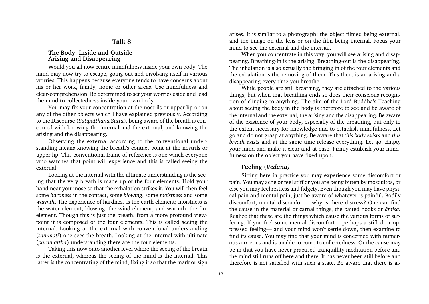## Talk 8

#### <span id="page-19-0"></span>The Body: Inside and Outside Arising and Disappearing

Would you all now centre mindfulness inside your own body. The mind may now try to escape, going out and involving itself in various worries. This happens because everyone tends to have concerns about his or her work, family, home or other areas. Use mindfulness and clear-comprehension. Be determined to set your worries aside and lead the mind to collectedness inside your own body.

You may fix your concentration at the nostrils or upper lip or on any of the other objects which I have explained previously. According to the Discourse (Satipaṭṭhāna Sutta), being aware of the breath is concerned with knowing the internal and the external, and knowing the arising and the disappearing.

Observing the external according to the conventional understanding means knowing the breath's contact point at the nostrils or upper lip. This conventional frame of reference is one which everyone who watches that point will experience and this is called seeing the external.

Looking at the internal with the ultimate understanding is the seeing that the very breath is made up of the four elements. Hold your hand near your nose so that the exhalation strikes it. You will then feel some hardness in the contact, some blowing, some moistness and some warmth. The experience of hardness is the earth element; moistness is the water element; blowing, the wind element; and warmth, the fire element. Though this is just the breath, from a more profound viewpoint it is composed of the four elements. This is called seeing the internal. Looking at the external with conventional understanding (sammati) one sees the breath. Looking at the internal with ultimate (paramattha) understanding there are the four elements.

Taking this now onto another level where the seeing of the breath is the external, whereas the seeing of the mind is the internal. This latter is the concentrating of the mind, fixing it so that the mark or sign

arises. It is similar to a photograph: the object filmed being external, and the image on the lens or on the film being internal. Focus your mind to see the external and the internal.

When you concentrate in this way, you will see arising and disappearing. Breathing-in is the arising. Breathing-out is the disappearing. The inhalation is also actually the bringing in of the four elements and the exhalation is the removing of them. This then, is an arising and a disappearing every time you breathe.

While people are still breathing, they are attached to the various things, but when that breathing ends so does their conscious recognition of clinging to anything. The aim of the Lord Buddha's Teaching about seeing the body in the body is therefore to see and be aware of the internal and the external, the arising and the disappearing. Be aware of the existence of your body, especially of the breathing, but only to the extent necessary for knowledge and to establish mindfulness. Let go and do not grasp at anything. Be aware that this body exists and this breath exists and at the same time release everything. Let go. Empty your mind and make it clear and at ease. Firmly establish your mindfulness on the object you have fixed upon.

#### Feeling (Vedanà)

Sitting here in practice you may experience some discomfort or pain. You may ache or feel stiff or you are being bitten by mosquitos, or else you may feel restless and fidgety. Even though you may have physical pain and mental pain, just be aware of whatever is painful. Bodily discomfort, mental discomfort —why is there distress? One can find the cause in the material or carnal things, the baited hooks or āmisa. Realize that these are the things which cause the various forms of suffering. If you feel some mental discomfort - perhaps a stifled or oppressed feeling— and your mind won't settle down, then examine to find its cause. You may find that your mind is concerned with numerous anxieties and is unable to come to collectedness. Or the cause may be in that you have never practised tranquillity meditation before and the mind still runs off here and there. It has never been still before and therefore is not satisfied with such a state. Be aware that there is al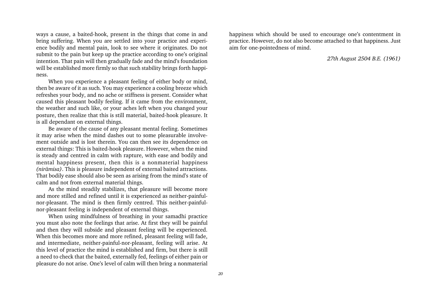ways a cause, a baited-hook, present in the things that come in and bring suffering. When you are settled into your practice and experience bodily and mental pain, look to see where it originates. Do not submit to the pain but keep up the practice according to one's original intention. That pain will then gradually fade and the mind's foundation will be established more firmly so that such stability brings forth happiness.

When you experience a pleasant feeling of either body or mind, then be aware of it as such. You may experience a cooling breeze which refreshes your body, and no ache or stiffness is present. Consider what caused this pleasant bodily feeling. If it came from the environment, the weather and such like, or your aches left when you changed your posture, then realize that this is still material, baited-hook pleasure. It is all dependant on external things.

Be aware of the cause of any pleasant mental feeling. Sometimes it may arise when the mind dashes out to some pleasurable involvement outside and is lost therein. You can then see its dependence on external things: This is baited-hook pleasure. However, when the mind is steady and centred in calm with rapture, with ease and bodily and mental happiness present, then this is a nonmaterial happiness (niràmisa). This is pleasure independent of external baited attractions. That bodily ease should also be seen as arising from the mind's state of calm and not from external material things.

As the mind steadily stabilizes, that pleasure will become more and more stilled and refined until it is experienced as neither-painfulnor-pleasant. The mind is then firmly centred. This neither-painfulnor-pleasant feeling is independent of external things.

When using mindfulness of breathing in your samadhi practice you must also note the feelings that arise. At first they will be painful and then they will subside and pleasant feeling will be experienced. When this becomes more and more refined, pleasant feeling will fade, and intermediate, neither-painful-nor-pleasant, feeling will arise. At this level of practice the mind is established and firm, but there is still a need to check that the baited, externally fed, feelings of either pain or pleasure do not arise. One's level of calm will then bring a nonmaterial

happiness which should be used to encourage one's contentment in practice. However, do not also become attached to that happiness. Just aim for one-pointedness of mind.

27th August 2504 B.E. (1961)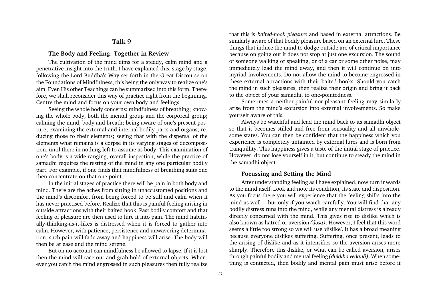## Talk 9

#### The Body and Feeling: Together in Review

<span id="page-21-0"></span>The cultivation of the mind aims for a steady, calm mind and a penetrative insight into the truth. I have explained this, stage by stage, following the Lord Buddha's Way set forth in the Great Discourse on the Foundations of Mindfulness, this being the only way to realize one's aim. Even His other Teachings can be summarized into this form. Therefore, we shall reconsider this way of practice right from the beginning. Centre the mind and focus on your own body and feelings.

Seeing the whole body concerns: mindfulness of breathing; knowing the whole body, both the mental group and the corporeal group; calming the mind, body and breath; being aware of one's present posture; examining the external and internal bodily parts and organs; reducing those to their elements; seeing that with the dispersal of the elements what remains is a corpse in its varying stages of decomposition, until there in nothing left to assume as body. This examination of one's body is a wide-ranging, overall inspection, while the practice of samadhi requires the resting of the mind in any one particular bodily part. For example, if one finds that mindfulness of breathing suits one then concentrate on that one point.

In the initial stages of practice there will be pain in both body and mind. There are the aches from sitting in unaccustomed positions and the mind's discomfort from being forced to be still and calm when it has never practised before. Realize that this is painful feeling arising in outside attractions with their baited hook. Past bodily comfort and that feeling of pleasure are then used to lure it into pain. The mind habitually-thinking-as-it-likes is distressed when it is forced to gather into calm. However, with patience, persistence and unwavering determination, such pain will fade away and happiness will arise. The body will then be at ease and the mind serene.

But on no account can mindfulness be allowed to lapse. If it is lost then the mind will race out and grab hold of external objects. Whenever you catch the mind engrossed in such pleasures then fully realize that this is baited-hook pleasure and based in external attractions. Be similarly aware of that bodily pleasure based on an external lure. These things that induce the mind to dodge outside are of critical importance because on going out it does not stop at just one excursion. The sound of someone walking or speaking, or of a car or some other noise, may immediately lead the mind away, and then it will continue on into myriad involvements. Do not allow the mind to become engrossed in these external attractions with their baited hooks. Should you catch the mind in such pleasures, then realize their origin and bring it back to the object of your samadhi, to one-pointedness.

Sometimes a neither-painful-nor-pleasant feeling may similarly arise from the mind's excursion into external involvements. So make yourself aware of this.

Always be watchful and lead the mind back to its samadhi object so that it becomes stilled and free from sensuality and all unwholesome states. You can then be confident that the happiness which you experience is completely untainted by external lures and is born from tranquillity. This happiness gives a taste of the initial stage of practice. However, do not lose yourself in it, but continue to steady the mind in the samadhi object.

#### Focussing and Setting the Mind

After understanding feeling as I have explained, now turn inwards to the mind itself. Look and note its condition, its state and disposition. As you focus there you will experience that the feeling shifts into the mind as well —but only if you watch carefully. You will find that any bodily distress runs into the mind, while any mental distress is already directly concerned with the mind. This gives rise to dislike which is also known as hatred or aversion (dosa). However, I feel that this word seems a little too strong so we will use 'dislike'. It has a broad meaning because everyone dislikes suffering. Suffering, once present, leads to the arising of dislike and as it intensifies so the aversion arises more sharply. Therefore this dislike, or what can be called aversion, arises through painful bodily and mental feeling (dukkha vedanà). When something is contacted, then bodily and mental pain must arise before it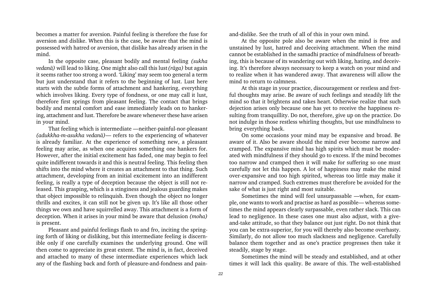becomes a matter for aversion. Painful feeling is therefore the fuse for aversion and dislike. When this is the case, be aware that the mind is possessed with hatred or aversion, that dislike has already arisen in the mind.

In the opposite case, pleasant bodily and mental feeling (sukha vedanà) will lead to liking. One might also call this lust (ràga) but again it seems rather too strong a word. 'Liking' may seem too general a term but just understand that it refers to the beginning of lust. Lust here starts with the subtle forms of attachment and hankering, everything which involves liking. Every type of fondness, or one may call it lust, therefore first springs from pleasant feeling. The contact that brings bodily and mental comfort and ease immediately leads on to hankering, attachment and lust. Therefore be aware whenever these have arisen in your mind.

That feeling which is intermediate —neither-painful-nor-pleasant (adukkha-m-asukha vedanā) – refers to the experiencing of whatever is already familiar. At the experience of something new, a pleasant feeling may arise, as when one acquires something one hankers for. However, after the initial excitement has faded, one may begin to feel quite indifferent towards it and this is neutral feeling. This feeling then shifts into the mind where it creates an attachment to that thing. Such attachment, developing from an initial excitement into an indifferent feeling, is really a type of deception because the object is still not released. This grasping, which is a stinginess and jealous guarding makes that object impossible to relinquish. Even though the object no longer thrills and excites, it can still not be given up. It's like all those other things we own and have squirrelled away. This attachment is a form of deception. When it arises in your mind be aware that delusion (moha) is present.

Pleasant and painful feelings flash to and fro, inciting the springing forth of liking or disliking, but this intermediate feeling is discernible only if one carefully examines the underlying ground. One will then come to appreciate its great extent. The mind is, in fact, deceived and attached to many of these intermediate experiences which lack any of the flashing back and forth of pleasure-and-fondness and painand-dislike. See the truth of all of this in your own mind.

At the opposite pole also be aware when the mind is free and unstained by lust, hatred and deceiving attachment. When the mind cannot be established in the samadhi practice of mindfulness of breathing, this is because of its wandering out with liking, hating, and deceiving. It's therefore always necessary to keep a watch on your mind and to realize when it has wandered away. That awareness will allow the mind to return to calmness.

At this stage in your practice, discouragement or restless and fretful thoughts may arise. Be aware of such feelings and steadily lift the mind so that it brightens and takes heart. Otherwise realize that such dejection arises only because one has yet to receive the happiness resulting from tranquillity. Do not, therefore, give up on the practice. Do not indulge in those restless whirling thoughts, but use mindfulness to bring everything back.

On some occasions your mind may be expansive and broad. Be aware of it. Also be aware should the mind ever become narrow and cramped. The expansive mind has high spirits which must be moderated with mindfulness if they should go to excess. If the mind becomes too narrow and cramped then it will make for suffering so one must carefully not let this happen. A lot of happiness may make the mind over-expansive and too high spirited, whereas too little may make it narrow and cramped. Such extremes must therefore be avoided for the sake of what is just right and most suitable.

Sometimes the mind will feel unsurpassable —when, for example, one wants to work and practise as hard as possible—whereas sometimes the mind appears clearly surpassable, even rather slack. This can lead to negligence. In these cases one must also adjust, with a giveand-take attitude, so that they balance out just right. Do not think that you can be extra-superior, for you will thereby also become overhasty. Similarly, do not allow too much slackness and negligence. Carefully balance them together and as one's practice progresses then take it steadily, stage by stage.

Sometimes the mind will be steady and established, and at other times it will lack this quality. Be aware of this. The well-established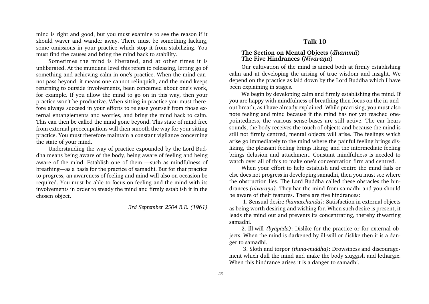<span id="page-23-0"></span>mind is right and good, but you must examine to see the reason if it should waver and wander away. There must be something lacking, some omissions in your practice which stop it from stabilizing. You must find the causes and bring the mind back to stability.

Sometimes the mind is liberated, and at other times it is unliberated. At the mundane level this refers to releasing, letting go of something and achieving calm in one's practice. When the mind cannot pass beyond, it means one cannot relinquish, and the mind keeps returning to outside involvements, been concerned about one's work, for example. If you allow the mind to go on in this way, then your practice won't be productive. When sitting in practice you must therefore always succeed in your efforts to release yourself from those external entanglements and worries, and bring the mind back to calm. This can then be called the mind gone beyond. This state of mind free from external preoccupations will then smooth the way for your sitting practice. You must therefore maintain a constant vigilance concerning the state of your mind.

Understanding the way of practice expounded by the Lord Buddha means being aware of the body, being aware of feeling and being aware of the mind. Establish one of them —such as mindfulness of breathing—as a basis for the practice of samadhi. But for that practice to progress, an awareness of feeling and mind will also on occasion be required. You must be able to focus on feeling and the mind with its involvements in order to steady the mind and firmly establish it in the chosen object.

3rd September 2504 B.E. (1961)

## Talk 10

#### The Section on Mental Objects (dhammà) The Five Hindrances (Nīvarana)

Our cultivation of the mind is aimed both at firmly establishing calm and at developing the arising of true wisdom and insight. We depend on the practice as laid down by the Lord Buddha which I have been explaining in stages.

We begin by developing calm and firmly establishing the mind. If you are happy with mindfulness of breathing then focus on the in-andout breath, as I have already explained. While practising, you must also note feeling and mind because if the mind has not yet reached onepointedness, the various sense-bases are still active. The ear hears sounds, the body receives the touch of objects and because the mind is still not firmly centred, mental objects will arise. The feelings which arise go immediately to the mind where the painful feeling brings disliking, the pleasant feeling brings liking; and the intermediate feeling brings delusion and attachment. Constant mindfulness is needed to watch over all of this to make one's concentration firm and centred.

When your effort to help establish and centre the mind fails or else does not progress in developing samadhi, then you must see where the obstruction lies. The Lord Buddha called these obstacles the hindrances (nīvarana). They bar the mind from samadhi and you should be aware of their features. There are five hindrances:

 1. Sensual desire (kàmacchanda): Satisfaction in external objects as being worth desiring and wishing for. When such desire is present, it leads the mind out and prevents its concentrating, thereby thwarting samadhi.

2. Ill-will (byàpàda): Dislike for the practice or for external objects. When the mind is darkened by ill-will or dislike then it is a danger to samadhi.

 3. Sloth and torpor (thãna-middha): Drowsiness and discouragement which dull the mind and make the body sluggish and lethargic. When this hindrance arises it is a danger to samadhi.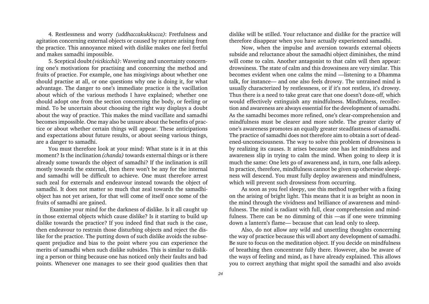4. Restlessness and worry (uddhaccakukkucca): Fretfulness and agitation concerning external objects or caused by rapture arising from the practice. This annoyance mixed with dislike makes one feel fretful and makes samadhi impossible.

5. Sceptical doubt (vicikicchà): Wavering and uncertainty concerning one's motivations for practising and concerning the method and fruits of practice. For example, one has misgivings about whether one should practise at all, or one questions why one is doing it, for what advantage. The danger to one's immediate practice is the vacillation about which of the various methods I have explained; whether one should adopt one from the section concerning the body, or feeling or mind. To be uncertain about choosing the right way displays a doubt about the way of practice. This makes the mind vacillate and samadhi becomes impossible. One may also be unsure about the benefits of practice or about whether certain things will appear. These anticipations and expectations about future results, or about seeing various things, are a danger to samadhi.

You must therefore look at your mind: What state is it in at this moment? Is the inclination (chanda) towards external things or is there already some towards the object of samadhi? If the inclination is still mostly towards the external, then there won't be any for the internal and samadhi will be difficult to achieve. One must therefore arrest such zeal for externals and endeavour instead towards the object of samadhi. It does not matter so much that zeal towards the samadhiobject has not yet arisen, for that will come of itself once some of the fruits of samadhi are gained.

 Examine your mind for the darkness of dislike. Is it all caught up in those external objects which cause dislike? Is it starting to build up dislike towards the practice? If you indeed find that such is the case, then endeavour to restrain those disturbing objects and reject the dislike for the practice. The putting down of such dislike avoids the subsequent prejudice and bias to the point where you can experience the merits of samadhi when such dislike subsides. This is similar to disliking a person or thing because one has noticed only their faults and bad points. Whenever one manages to see their good qualities then that dislike will be stilled. Your reluctance and dislike for the practice will therefore disappear when you have actually experienced samadhi.

Now, when the impulse and aversion towards external objects subside and reluctance about the samadhi object diminishes, the mind will come to calm. Another antagonist to that calm will then appear: drowsiness. The state of calm and this drowsiness are very similar. This becomes evident when one calms the mind —listening to a Dhamma talk, for instance— and one also feels drowsy. The untrained mind is usually characterized by restlessness, or if it's not restless, it's drowsy. Thus there is a need to take great care that one doesn't doze-off, which would effectively extinguish any mindfulness. Mindfulness, recollection and awareness are always essential for the development of samadhi. As the samadhi becomes more refined, one's clear-comprehension and mindfulness must be clearer and more subtle. The greater clarity of one's awareness promotes an equally greater steadfastness of samadhi. The practice of samadhi does not therefore aim to obtain a sort of deadened-unconsciousness. The way to solve this problem of drowsiness is by realizing its causes. It arises because one has let mindfulness and awareness slip in trying to calm the mind. When going to sleep it is much the same: One lets go of awareness and, in turn, one falls asleep. In practice, therefore, mindfulness cannot be given up otherwise sleepiness will descend. You must fully deploy awareness and mindfulness, which will prevent such drowsiness from occurring.

As soon as you feel sleepy, use this method together with a fixing on the arising of bright light. This means that it is as bright as noon in the mind through the vividness and brilliance of awareness and mindfulness. The mind is radiant with full, clear comprehension and mindfulness. There can be no dimming of this —as if one were trimming down a lantern's flame— because that can lead only to sleep.

Also, do not allow any wild and unsettling thoughts concerning the way of practice because this will abort any development of samadhi. Be sure to focus on the meditation object. If you decide on mindfulness of breathing then concentrate fully there. However, also be aware of the ways of feeling and mind, as I have already explained. This allows you to correct anything that might spoil the samadhi and also avoids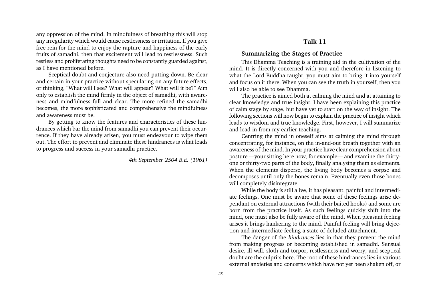<span id="page-25-0"></span>any oppression of the mind. In mindfulness of breathing this will stop any irregularity which would cause restlessness or irritation. If you give free rein for the mind to enjoy the rapture and happiness of the early fruits of samadhi, then that excitement will lead to restlessness. Such restless and proliferating thoughts need to be constantly guarded against, as I have mentioned before.

Sceptical doubt and conjecture also need putting down. Be clear and certain in your practice without speculating on any future effects, or thinking, "What will I see? What will appear? What will it be?" Aim only to establish the mind firmly in the object of samadhi, with awareness and mindfulness full and clear. The more refined the samadhi becomes, the more sophisticated and comprehensive the mindfulness and awareness must be.

By getting to know the features and characteristics of these hindrances which bar the mind from samadhi you can prevent their occurrence. If they have already arisen, you must endeavour to wipe them out. The effort to prevent and eliminate these hindrances is what leads to progress and success in your samadhi practice.

4th September 2504 B.E. (1961)

## Talk 11

## Summarizing the Stages of Practice

This Dhamma Teaching is a training aid in the cultivation of the mind. It is directly concerned with you and therefore in listening to what the Lord Buddha taught, you must aim to bring it into yourself and focus on it there. When you can see the truth in yourself, then you will also be able to see Dhamma.

The practice is aimed both at calming the mind and at attaining to clear knowledge and true insight. I have been explaining this practice of calm stage by stage, but have yet to start on the way of insight. The following sections will now begin to explain the practice of insight which leads to wisdom and true knowledge. First, however, I will summarize and lead in from my earlier teaching.

Centring the mind in oneself aims at calming the mind through concentrating, for instance, on the in-and-out breath together with an awareness of the mind. In your practice have clear comprehension about posture — your sitting here now, for example— and examine the thirtyone or thirty-two parts of the body, finally analysing them as elements. When the elements disperse, the living body becomes a corpse and decomposes until only the bones remain. Eventually even those bones will completely disintegrate.

While the body is still alive, it has pleasant, painful and intermediate feelings. One must be aware that some of these feelings arise dependant on external attractions (with their baited hooks) and some are born from the practice itself. As such feelings quickly shift into the mind, one must also be fully aware of the mind. When pleasant feeling arises it brings hankering to the mind. Painful feeling will bring dejection and intermediate feeling a state of deluded attachment.

The danger of the hindrances lies in that they prevent the mind from making progress or becoming established in samadhi. Sensual desire, ill-will, sloth and torpor, restlessness and worry, and sceptical doubt are the culprits here. The root of these hindrances lies in various external anxieties and concerns which have not yet been shaken off, or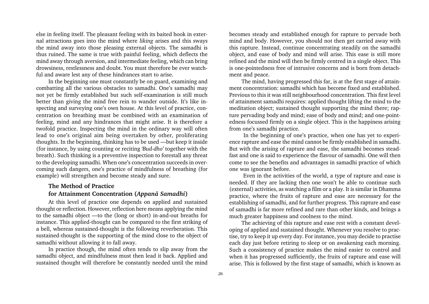else in feeling itself. The pleasant feeling with its baited hook in external attractions goes into the mind where liking arises and this sways the mind away into those pleasing external objects. The samadhi is thus ruined. The same is true with painful feeling, which deflects the mind away through aversion, and intermediate feeling, which can bring drowsiness, restlessness and doubt. You must therefore be ever watchful and aware lest any of these hindrances start to arise.

In the beginning one must constantly be on guard, examining and combatting all the various obstacles to samadhi. One's samadhi may not yet be firmly established but such self-examination is still much better than giving the mind free rein to wander outside. It's like inspecting and surveying one's own house. At this level of practice, concentration on breathing must be combined with an examination of feeling, mind and any hindrances that might arise. It is therefore a twofold practice. Inspecting the mind in the ordinary way will often lead to one's original aim being overtaken by other, proliferating thoughts. In the beginning, thinking has to be used —but keep it inside (for instance, by using counting or reciting  $Bud-dho'$  together with the breath). Such thinking is a preventive inspection to forestall any threat to the developing samadhi. When one's concentration succeeds in overcoming such dangers, one's practice of mindfulness of breathing (for example) will strengthen and become steady and sure.

## The Method of Practice for Attainment Concentration (Appanà Samadhi)

At this level of practice one depends on applied and sustained thought or reflection. However, reflection here means applying the mind to the samadhi object —to the (long or short) in-and-out breaths for instance. This applied-thought can be compared to the first striking of a bell, whereas sustained-thought is the following reverberation. This sustained-thought is the supporting of the mind close to the object of samadhi without allowing it to fall away.

In practice though, the mind often tends to slip away from the samadhi object, and mindfulness must then lead it back. Applied and sustained thought will therefore be constantly needed until the mind

becomes steady and established enough for rapture to pervade both mind and body. However, you should not then get carried away with this rapture. Instead, continue concentrating steadily on the samadhi object, and ease of body and mind will arise. This ease is still more refined and the mind will then be firmly centred in a single object. This is one-pointedness free of intrusive concerns and is born from detachment and peace.

The mind, having progressed this far, is at the first stage of attainment concentration: samadhi which has become fixed and established. Previous to this it was still neighbourhood concentration. This first level of attainment samadhi requires: applied thought lifting the mind to the meditation object; sustained thought supporting the mind there; rapture pervading body and mind; ease of body and mind; and one-pointedness focussed firmly on a single object. This is the happiness arising from one's samadhi practice.

In the beginning of one's practice, when one has yet to experience rapture and ease the mind cannot be firmly established in samadhi. But with the arising of rapture and ease, the samadhi becomes steadfast and one is said to experience the flavour of samadhi. One will then come to see the benefits and advantages in samadhi practice of which one was ignorant before.

 Even in the activities of the world, a type of rapture and ease is needed. If they are lacking then one won't be able to continue such (external) activities, as watching a film or a play. It is similar in Dhamma practice, where the fruits of rapture and ease are necessary for the establishing of samadhi, and for further progress. This rapture and ease of samadhi is far more refined and rare than other kinds, and brings a much greater happiness and coolness to the mind.

The achieving of this rapture and ease rest with a constant developing of applied and sustained thought. Whenever you resolve to practise, try to keep it up every day. For instance, you may decide to practise each day just before retiring to sleep or on awakening each morning. Such a consistency of practice makes the mind easier to control and when it has progressed sufficiently, the fruits of rapture and ease will arise. This is followed by the first stage of samadhi, which is known as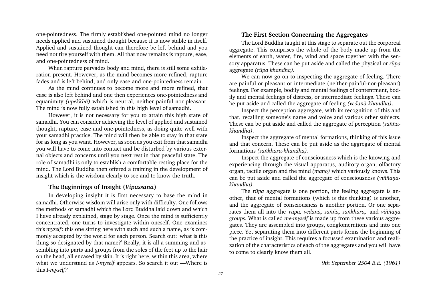one-pointedness. The firmly established one-pointed mind no longer needs applied and sustained thought because it is now stable in itself. Applied and sustained thought can therefore be left behind and you need not tire yourself with them. All that now remains is rapture, ease, and one-pointedness of mind.

When rapture pervades body and mind, there is still some exhilaration present. However, as the mind becomes more refined, rapture fades and is left behind, and only ease and one-pointedness remain.

As the mind continues to become more and more refined, that ease is also left behind and one then experiences one-pointedness and equanimity (upekkhà) which is neutral, neither painful nor pleasant. The mind is now fully established in this high level of samadhi.

However, it is not necessary for you to attain this high state of samadhi. You can consider achieving the level of applied and sustained thought, rapture, ease and one-pointedness, as doing quite well with your samadhi practice. The mind will then be able to stay in that state for as long as you want. However, as soon as you exit from that samadhi you will have to come into contact and be disturbed by various external objects and concerns until you next rest in that peaceful state. The role of samadhi is only to establish a comfortable resting place for the mind. The Lord Buddha then offered a training in the development of insight which is the wisdom clearly to see and to know the truth.

#### The Beginnings of Insight (Vipassanà)

In developing insight it is first necessary to base the mind in samadhi. Otherwise wisdom will arise only with difficulty. One follows the methods of samadhi which the Lord Buddha laid down and which I have already explained, stage by stage. Once the mind is sufficiently concentrated, one turns to investigate within oneself. One examines this myself: this one sitting here with such and such a name, as is commonly accepted by the world for each person. Search out: what is this thing so designated by that name? Really, it is all a summing and assembling into parts and groups from the soles of the feet up to the hair on the head, all encased by skin. It is right here, within this area, where what we understand as *I-myself* appears. So search it out —Where is this I-myself?

#### The First Section Concerning the Aggregates

The Lord Buddha taught at this stage to separate out the corporeal aggregate. This comprises the whole of the body made up from the elements of earth, water, fire, wind and space together with the sensory apparatus. These can be put aside and called the physical or rūpa aggregate (råpa khandha).

We can now go on to inspecting the aggregate of feeling. There are painful or pleasant or intermediate (neither-painful-nor-pleasant) feelings. For example, bodily and mental feelings of contentment, bodily and mental feelings of distress, or intermediate feelings. These can be put aside and called the aggregate of feeling (vedanà-khandha).

Inspect the perception aggregate, with its recognition of this and that, recalling someone's name and voice and various other subjects. These can be put aside and called the aggregate of perception (saññakhandha).

Inspect the aggregate of mental formations, thinking of this issue and that concern. These can be put aside as the aggregate of mental formations (sankhāra-khandha).

Inspect the aggregate of consciousness which is the knowing and experiencing through the visual apparatus, auditory organ, olfactory organ, tactile organ and the mind (mano) which variously knows. This can be put aside and called the aggregate of consciousness (viññanakhandha).

The *rūpa* aggregate is one portion, the feeling aggregate is another, that of mental formations (which is this thinking) is another, and the aggregate of consciousness is another portion. Or one separates them all into the rūpa, vedanā, saññā, sankhāra, and viññāna groups. What is called me-myself is made up from these various aggregates. They are assembled into groups, conglomerations and into one piece. Yet separating them into different parts forms the beginning of the practice of insight. This requires a focussed examination and realization of the characteristics of each of the aggregates and you will have to come to clearly know them all.

9th September 2504 B.E. (1961)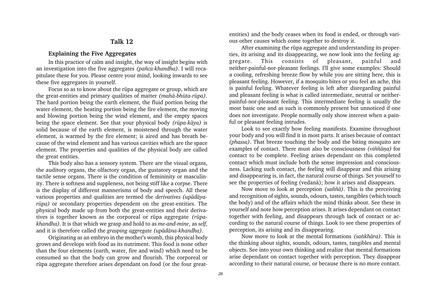## Talk 12

#### Explaining the Five Aggregates

<span id="page-28-0"></span>In this practice of calm and insight, the way of insight begins with an investigation into the five aggregates (pañca-khandha). I will recapitulate these for you. Please centre your mind, looking inwards to see these five aggregates in yourself.

Focus so as to know about the råpa aggregate or group, which are the great-entities and primary qualities of matter (mahà-bhåta-råpa). The hard portion being the earth element, the fluid portion being the water element, the heating portion being the fire element, the moving and blowing portion being the wind element, and the empty spaces being the space element. See that your physical body (rūpa-kāya) is solid because of the earth element, is moistened through the water element, is warmed by the fire element; is aired and has breath because of the wind element and has various cavities which are the space element. The properties and qualities of the physical body are called the great entities.

This body also has a sensory system. There are the visual organs, the auditory organs, the olfactory organ, the gustatory organ and the tactile sense organs. There is the condition of femininity or masculinity. There is softness and suppleness, not being stiff like a corpse. There is the display of different mannerisms of body and speech. All these various properties and qualities are termed the derivatives (upàdàyaråpa) or secondary properties dependent on the great-entities. The physical body made up from both the great-entities and their derivatives is together known as the corporeal or råpa aggregate (råpakhandha). It is that which we grasp and hold to as me-and-mine, as self, and it is therefore called the grasping aggregate (upàdàna-khandha).

Originating as an embryo in the mother's womb, this physical body grows and develops with food as its nutriment. This food is none other than the four elements (earth, water, fire and wind) which need to be consumed so that the body can grow and flourish. The corporeal or råpa aggregate therefore arises dependant on food (or the four greatentities) and the body ceases when its food is ended, or through various other causes which come together to destroy it.

After examining the råpa aggregate and understanding its properties, its arising and its disappearing, we now look into the feeling aggregate. This consists of pleasant, painful and neither-painful-nor-pleasant feelings. Ill give some examples: Should a cooling, refreshing breeze flow by while you are sitting here, this is pleasant feeling. However, if a mosquito bites or you feel an ache, this is painful feeling. Whatever feeling is left after disregarding painful and pleasant feeling is what is called intermediate, neutral or neitherpainful-nor-pleasant feeling. This intermediate feeling is usually the most basic one and as such is commonly present but unnoticed if one does not investigate. People normally only show interest when a painful or pleasant feeling intrudes.

Look to see exactly how feeling manifests. Examine throughout your body and you will find it in most parts. It arises because of contact (phassa). That breeze touching the body and the biting mosquito are examples of contact. There must also be consciousness (viññana) for contact to be complete. Feeling arises dependant on this completed contact which must include both the sense impression and consciousness. Lacking such contact, the feeling will disappear and this arising and disappearing is, in fact, the natural course of things. Set yourself to see the properties of feeling (vedanà); how it arises and disappears.

Now move to look at perception ( $sañña$ ). This is the perceiving and recognition of sights, sounds, odours, tastes, tangibles (which touch the body) and of the affairs which the mind thinks about. See these in yourself and note how perception arises. It arises dependant on contact together with feeling, and disappears through lack of contact or according to the natural course of things. Look to see these properties of perception, its arising and its disappearing.

Now move to look at the mental formations *(sankhāra)*. This is the thinking about sights, sounds, odours, tastes, tangibles and mental objects. See into your own thinking and realize that mental formations arise dependant on contact together with perception. They disappear according to their natural course, or because there is no more contact.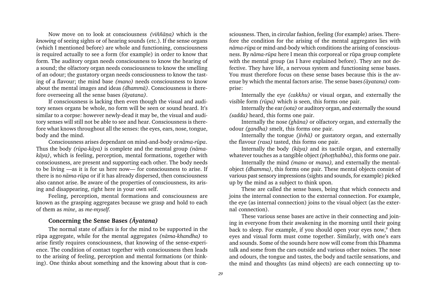Now move on to look at consciousness *(viññāna)* which is the knowing of seeing sights or of hearing sounds (etc.). If the sense organs (which I mentioned before) are whole and functioning, consciousness is required actually to see a form (for example) in order to know that form. The auditory organ needs consciousness to know the hearing of a sound; the olfactory organ needs consciousness to know the smelling of an odour; the gustatory organ needs consciousness to know the tasting of a flavour; the mind base (mano) needs consciousness to know about the mental images and ideas (dhammà). Consciousness is therefore overseeing all the sense bases (àyatana).

If consciousness is lacking then even though the visual and auditory senses organs be whole, no form will be seen or sound heard. It's similar to a corpse: however newly-dead it may be, the visual and auditory senses will still not be able to see and hear. Consciousness is therefore what knows throughout all the senses: the eyes, ears, nose, tongue, body and the mind.

Consciousness arises dependant on mind-and-body or nàma-råpa. Thus the body (rūpa-kāya) is complete and the mental group (nāmakàya), which is feeling, perception, mental formations, together with consciousness, are present and supporting each other. The body needs to be living —as it is for us here now— for consciousness to arise. If there is no nàma-råpa or if it has already dispersed, then consciousness also cannot arise. Be aware of the properties of consciousness, its arising and disappearing, right here in your own self.

Feeling, perception, mental formations and consciousness are known as the grasping aggregates because we grasp and hold to each of them as mine, as me-myself.

#### Concerning the Sense Bases (âyatana)

The normal state of affairs is for the mind to be supported in the råpa aggregate, while for the mental aggregates (nàma-khandha) to arise firstly requires consciousness, that knowing of the sense-experience. The condition of contact together with consciousness then leads to the arising of feeling, perception and mental formations (or thinking). One thinks about something and the knowing about that is consciousness. Then, in circular fashion, feeling (for example) arises. Therefore the condition for the arising of the mental aggregates lies with nàma-råpa or mind-and-body which conditions the arising of consciousness. By nàma-råpa here I mean this corporeal or råpa group complete with the mental group (as I have explained before). They are not defective. They have life, a nervous system and functioning sense bases. You must therefore focus on these sense bases because this is the avenue by which the mental factors arise. The sense bases (àyatana) comprise:

Internally the eye (cakkhu) or visual organ, and externally the visible form (rūpa) which is seen, this forms one pair.

Internally the ear (sota) or auditory organ, and externally the sound (sadda) heard, this forms one pair.

Internally the nose (ghàna) or olfactory organ, and externally the odour (gandha) smelt, this forms one pair.

Internally the tongue (jivhà) or gustatory organ, and externally the flavour (rasa) tasted, this forms one pair.

Internally the body (kàya) and its tactile organ, and externally whatever touches as a tangible object (photthabba), this forms one pair.

Internally the mind (mano or mana), and externally the mentalobject (dhamma), this forms one pair. These mental objects consist of various past sensory impressions (sights and sounds, for example) picked up by the mind as a subject to think upon.

These are called the sense bases, being that which connects and joins the internal connection to the external connection. For example, the eye (as internal connection) joins to the visual object (as the external connection).

These various sense bases are active in their connecting and joining in everyone from their awakening in the morning until their going back to sleep. For example, if you should open your eyes now,<sup>9</sup> then eyes and visual form must come together. Similarly, with one's ears and sounds. Some of the sounds here now will come from this Dhamma talk and some from the cars outside and various other noises. The nose and odours, the tongue and tastes, the body and tactile sensations, and the mind and thoughts (as mind objects) are each connecting up to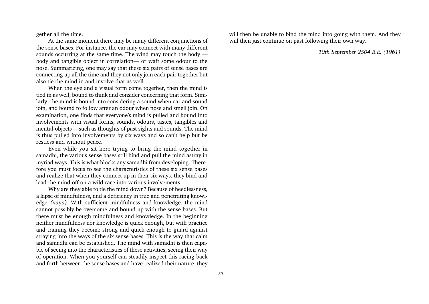gether all the time.

At the same moment there may be many different conjunctions of the sense bases. For instance, the ear may connect with many different sounds occurring at the same time. The wind may touch the body body and tangible object in correlation— or waft some odour to the nose. Summarizing, one may say that these six pairs of sense bases are connecting up all the time and they not only join each pair together but also tie the mind in and involve that as well.

When the eye and a visual form come together, then the mind is tied in as well, bound to think and consider concerning that form. Similarly, the mind is bound into considering a sound when ear and sound join, and bound to follow after an odour when nose and smell join. On examination, one finds that everyone's mind is pulled and bound into involvements with visual forms, sounds, odours, tastes, tangibles and mental-objects —such as thoughts of past sights and sounds. The mind is thus pulled into involvements by six ways and so can't help but be restless and without peace.

Even while you sit here trying to bring the mind together in samadhi, the various sense bases still bind and pull the mind astray in myriad ways. This is what blocks any samadhi from developing. Therefore you must focus to see the characteristics of these six sense bases and realize that when they connect up in their six ways, they bind and lead the mind off on a wild race into various involvements.

Why are they able to tie the mind down? Because of heedlessness, a lapse of mindfulness, and a deficiency in true and penetrating knowledge (ñāna). With sufficient mindfulness and knowledge, the mind cannot possibly be overcome and bound up with the sense bases. But there must be enough mindfulness and knowledge. In the beginning neither mindfulness nor knowledge is quick enough, but with practice and training they become strong and quick enough to guard against straying into the ways of the six sense bases. This is the way that calm and samadhi can be established. The mind with samadhi is then capable of seeing into the characteristics of these activities, seeing their way of operation. When you yourself can steadily inspect this racing back and forth between the sense bases and have realized their nature, they will then be unable to bind the mind into going with them. And they will then just continue on past following their own way.

10th September 2504 B.E. (1961)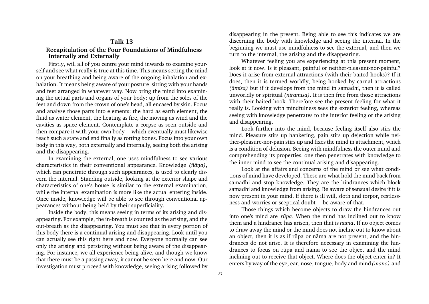### Talk 13

#### <span id="page-31-0"></span>Recapitulation of the Four Foundations of Mindfulness Internally and Externally

Firstly, will all of you centre your mind inwards to examine yourself and see what really is true at this time. This means setting the mind on your breathing and being aware of the ongoing inhalation and exhalation. It means being aware of your posture sitting with your hands and feet arranged in whatever way. Now bring the mind into examining the actual parts and organs of your body: up from the soles of the feet and down from the crown of one's head, all encased by skin. Focus and analyse those parts into elements: the hard as earth element, the fluid as water element, the heating as fire, the moving as wind and the cavities as space element. Contemplate a corpse as seen outside and then compare it with your own body —which eventually must likewise reach such a state and end finally as rotting bones. Focus into your own body in this way, both externally and internally, seeing both the arising and the disappearing.

In examining the external, one uses mindfulness to see various characteristics in their conventional appearance. Knowledge (ñāna), which can penetrate through such appearances, is used to clearly discern the internal. Standing outside, looking at the exterior shape and characteristics of one's house is similar to the external examination, while the internal examination is more like the actual entering inside. Once inside, knowledge will be able to see through conventional appearances without being held by their superficiality.

Inside the body, this means seeing in terms of its arising and disappearing. For example, the in-breath is counted as the arising, and the out-breath as the disappearing. You must see that in every portion of this body there is a continual arising and disappearing. Look until you can actually see this right here and now. Everyone normally can see only the arising and persisting without being aware of the disappearing. For instance, we all experience being alive, and though we know that there must be a passing away, it cannot be seen here and now. Our investigation must proceed with knowledge, seeing arising followed by disappearing in the present. Being able to see this indicates we are discerning the body with knowledge and seeing the internal. In the beginning we must use mindfulness to see the external, and then we turn to the internal, the arising and the disappearing.

Whatever feeling you are experiencing at this present moment, look at it now. Is it pleasant, painful or neither-pleasant-nor-painful? Does it arise from external attractions (with their baited hooks)? If it does, then it is termed worldly, being hooked by carnal attractions (àmisa) but if it develops from the mind in samadhi, then it is called unworldly or spiritual (niràmisa). It is then free from those attractions with their baited hook. Therefore see the present feeling for what it really is. Looking with mindfulness sees the exterior feeling, whereas seeing with knowledge penetrates to the interior feeling or the arising and disappearing.

Look further into the mind, because feeling itself also stirs the mind. Pleasure stirs up hankering, pain stirs up dejection while neither-pleasure-nor-pain stirs up and fixes the mind in attachment, which is a condition of delusion. Seeing with mindfulness the outer mind and comprehending its properties, one then penetrates with knowledge to the inner mind to see the continual arising and disappearing.

Look at the affairs and concerns of the mind or see what conditions of mind have developed. These are what hold the mind back from samadhi and stop knowledge. They are the hindrances which block samadhi and knowledge from arising. Be aware of sensual desire if it is now present in your mind. If there is ill will, sloth and torpor, restlessness and worries or sceptical doubt - be aware of that.

Those things which become objects to draw the hindrances out into one's mind are *rūpa*. When the mind has inclined out to know them and a hindrance has arisen, then that is nāma. If no object comes to draw away the mind or the mind does not incline out to know about an object, then it is as if råpa or nàma are not present, and the hindrances do not arise. It is therefore necessary in examining the hindrances to focus on råpa and nàma to see the object and the mind inclining out to receive that object. Where does the object enter in? It enters by way of the eye, ear, nose, tongue, body and mind (mano) and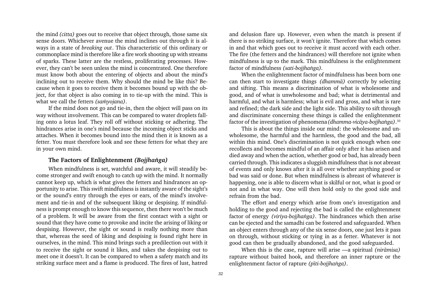the mind (citta) goes out to receive that object through, those same six sense doors. Whichever avenue the mind inclines out through it is always in a state of breaking out. This characteristic of this ordinary or commonplace mind is therefore like a fire work shooting up with streams of sparks. These latter are the restless, proliferating processes. However, they can't be seen unless the mind is concentrated. One therefore must know both about the entering of objects and about the mind's inclining out to receive them. Why should the mind be like this? Because when it goes to receive them it becomes bound up with the object, for that object is also coming in to tie-up with the mind. This is what we call the fetters (samvojana).

If the mind does not go and tie-in, then the object will pass on its way without involvement. This can be compared to water droplets falling onto a lotus leaf. They roll off without sticking or adhering. The hindrances arise in one's mind because the incoming object sticks and attaches. When it becomes bound into the mind then it is known as a fetter. You must therefore look and see these fetters for what they are in your own mind.

#### The Factors of Enlightenment (Bojihanga)

When mindfulness is set, watchful and aware, it will steadily become stronger and swift enough to catch up with the mind. It normally cannot keep up, which is what gives the fetters and hindrances an opportunity to arise. This swift mindfulness is instantly aware of the sight's or the sound's entry through the eyes or ears, of the mind's involvement and tie-in and of the subsequent liking or despising. If mindfulness is prompt enough to know this sequence, then there won't be much of a problem. It will be aware from the first contact with a sight or sound that they have come to provoke and incite the arising of liking or despising. However, the sight or sound is really nothing more than that, whereas the seed of liking and despising is found right here in ourselves, in the mind. This mind brings such a predilection out with it to receive the sight or sound it likes, and takes the despising out to meet one it doesn't. It can be compared to when a safety match and its striking surface meet and a flame is produced. The fires of lust, hatred

and delusion flare up. However, even when the match is present if there is no striking surface, it won't ignite. Therefore that which comes in and that which goes out to receive it must accord with each other. The fire (the fetters and the hindrances) will therefore not ignite when mindfulness is up to the mark. This mindfulness is the enlightenment factor of mindfulness *(sati-bojihanga)*.

When the enlightenment factor of mindfulness has been born one can then start to investigate things (dhammà) correctly by selecting and sifting. This means a discrimination of what is wholesome and good, and of what is unwholesome and bad; what is detrimental and harmful, and what is harmless; what is evil and gross, and what is rare and refined; the dark side and the light side. This ability to sift through and discriminate concerning these things is called the enlightenment factor of the investigation of phenomena (dhamma-vicāya-bojjhaṅga). $^{\rm 10}$ 

This is about the things inside our mind: the wholesome and unwholesome, the harmful and the harmless, the good and the bad, all within this mind. One's discrimination is not quick enough when one recollects and becomes mindful of an affair only after it has arisen and died away and when the action, whether good or bad, has already been carried through. This indicates a sluggish mindfulness that is not abreast of events and only knows after it is all over whether anything good or bad was said or done. But when mindfulness is abreast of whatever is happening, one is able to discern what is skilful or not, what is good or not and in what way. One will then hold only to the good side and refrain from the bad.

The effort and energy which arise from one's investigation and holding to the good and rejecting the bad is called the enlightenment factor of energy (viriya-bojjhanga). The hindrances which then arise can be ejected and the samadhi can be fostered and safeguarded. When an object enters through any of the six sense doors, one just lets it pass on through, without sticking or tying in as a fetter. Whatever is not good can then be gradually abandoned, and the good safeguarded.

When this is the case, rapture will arise  $-a$  spiritual (nirāmisa) rapture without baited hook, and therefore an inner rapture or the enlightenment factor of rapture (pīti-bojjhanga).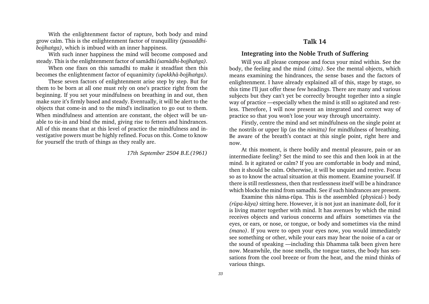<span id="page-33-0"></span>With the enlightenment factor of rapture, both body and mind grow calm. This is the enlightenment factor of tranquillity (passaddhibojjhanga), which is imbued with an inner happiness.

With such inner happiness the mind will become composed and steady. This is the enlightenment factor of samādhi (samādhi-bojjhanga).

When one fixes on this samadhi to make it steadfast then this becomes the enlightenment factor of equanimity (upekkhā-bojjhaṅga).

These seven factors of enlightenment arise step by step. But for them to be born at all one must rely on one's practice right from the beginning. If you set your mindfulness on breathing in and out, then make sure it's firmly based and steady. Eventually, it will be alert to the objects that come-in and to the mind's inclination to go out to them. When mindfulness and attention are constant, the object will be unable to tie-in and bind the mind, giving rise to fetters and hindrances. All of this means that at this level of practice the mindfulness and investigative powers must be highly refined. Focus on this. Come to know for yourself the truth of things as they really are.

17th September 2504 B.E.(1961)

## Talk 14

#### Integrating into the Noble Truth of Suffering

Will you all please compose and focus your mind within. See the body, the feeling and the mind (citta). See the mental objects, which means examining the hindrances, the sense bases and the factors of enlightenment. I have already explained all of this, stage by stage, so this time Ill just offer these few headings. There are many and various subjects but they can't yet be correctly brought together into a single way of practice —especially when the mind is still so agitated and restless. Therefore, I will now present an integrated and correct way of practice so that you won't lose your way through uncertainty.

Firstly, centre the mind and set mindfulness on the single point at the nostrils or upper lip (as the nimitta) for mindfulness of breathing. Be aware of the breath's contact at this single point, right here and now.

At this moment, is there bodily and mental pleasure, pain or an intermediate feeling? Set the mind to see this and then look in at the mind. Is it agitated or calm? If you are comfortable in body and mind, then it should be calm. Otherwise, it will be unquiet and restive. Focus so as to know the actual situation at this moment. Examine yourself. If there is still restlessness, then that restlessness itself will be a hindrance which blocks the mind from samadhi. See if such hindrances are present.

Examine this nàma-råpa. This is the assembled (physical-) body (råpa-kàya) sitting here. However, it is not just an inanimate doll, for it is living matter together with mind. It has avenues by which the mind receives objects and various concerns and affairs sometimes via the eyes, or ears, or nose, or tongue, or body and sometimes via the mind (mano). If you were to open your eyes now, you would immediately see something or other, while your ears may hear the noise of a car or the sound of speaking —including this Dhamma talk been given here now. Meanwhile, the nose smells, the tongue tastes, the body has sensations from the cool breeze or from the heat, and the mind thinks of various things.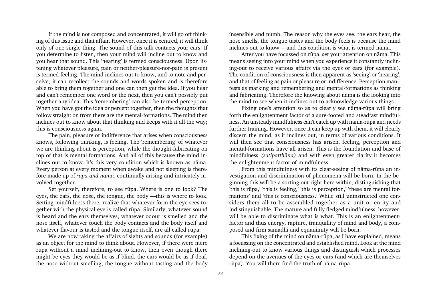If the mind is not composed and concentrated, it will go off thinking of this issue and that affair. However, once it is centred, it will think only of one single thing. The sound of this talk contacts your ears: If you determine to listen, then your mind will incline out to know and you hear that sound. This 'hearing' is termed consciousness. Upon listening whatever pleasure, pain or neither-pleasure-nor-pain is present is termed feeling. The mind inclines out to know, and to note and perceive; it can recollect the sounds and words spoken and is therefore able to bring them together and one can then get the idea. If you hear and can't remember one word or the next, then you can't possibly put together any idea. This 'remembering' can also be termed perception. When you have got the idea or percept together, then the thoughts that follow straight on from there are the mental-formations. The mind then inclines out to know about that thinking and keeps with it all the way; this is consciousness again.

The pain, pleasure or indifference that arises when consciousness knows, following thinking, is feeling. The 'remembering' of whatever we are thinking about is perception, while the thought-fabricating on top of that is mental formations. And all of this because the mind inclines out to know. It's this very condition which is known as nāma. Every person at every moment when awake and not sleeping is therefore made up of råpa-and-nàma, continually arising and intricately involved together.

Set yourself, therefore, to see rūpa. Where is one to look? The eyes, the ears, the nose, the tongue, the body —this is where to look. Setting mindfulness there, realize that whatever form the eye sees together with the physical eye is called råpa. Similarly, whatever sound is heard and the ears themselves, whatever odour is smelled and the nose itself, whatever touch the body contacts and the body itself and whatever flavour is tasted and the tongue itself, are all called rūpa.

We are now taking the affairs of sights and sounds (for example) as an object for the mind to think about. However, if there were mere råpa without a mind inclining-out to know, then even though there might be eyes they would be as if blind, the ears would be as if deaf, the nose without smelling, the tongue without tasting and the body insensible and numb. The reason why the eyes see, the ears hear, the nose smells, the tongue tastes and the body feels is because the mind inclines-out to know —and this condition is what is termed nāma.

After you have focussed on rūpa, set your attention on nāma. This means seeing into your mind when you experience it constantly inclining-out to receive various affairs via the eyes or ears (for example). The condition of consciousness is then apparent as 'seeing' or 'hearing', and that of feeling as pain or pleasure or indifference. Perception manifests as marking and remembering and mental-formations as thinking and fabricating. Therefore the knowing about nàma is the looking into the mind to see when it inclines-out to acknowledge various things.

Fixing one's attention so as to clearly see nāma-rūpa will bring forth the enlightenment factor of a sure-footed and steadfast mindfulness. An unsteady mindfulness can't catch up with nāma-rūpa and needs further training. However, once it can keep up with them, it will clearly discern the mind, as it inclines out, in terms of various conditions. It will then see that consciousness has arisen, feeling, perception and mental-formations have all arisen. This is the foundation and base of mindfulness *(satipatthāna)* and with even greater clarity it becomes the enlightenment factor of mindfulness.

From this mindfulness with its clear-seeing of nāma-rūpa an investigation and discrimination of phenomena will be born. In the beginning this will be a sorting out right here within, distinguishing that 'this is rūpa,' 'this is feeling,' 'this is perception,' 'these are mental formations' and 'this is consciousness.' While still uninstructed one considers them all to be assembled together as a unit or entity and indistinguishable. The mature and fully fledged mindfulness, however, will be able to discriminate what is what. This is an enlightenmentfactor and thus energy, rapture, tranquillity of mind and body, a composed and firm samadhi and equanimity will be born.

This fixing of the mind on nàma-råpa, as I have explained, means a focussing on the concentrated and established mind. Look at the mind inclining-out to know various things and distinguish which processes depend on the avenues of the eyes or ears (and which are themselves råpa). You will there find the truth of nàma-råpa.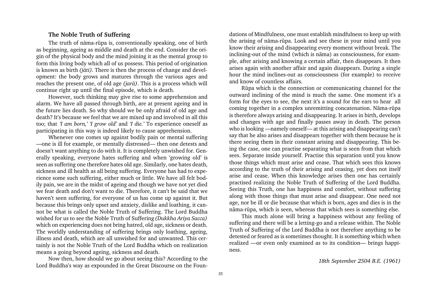#### The Noble Truth of Suffering

The truth of nàma-råpa is, conventionally speaking, one of birth as beginning, ageing as middle and death at the end. Consider the origin of the physical body and the mind joining it as the mental group to form this living body which all of us possess. This period of origination is known as birth *(jāti)*. There is then the process of change and development: the body grows and matures through the various ages and reaches the present one, of old age (jarà). This is a process which will continue right up until the final episode, which is death.

However, such thinking may give rise to some apprehension and alarm. We have all passed through birth, are at present ageing and in the future lies death. So why should we be only afraid of old age and death? It's because we feel that we are mixed up and involved in all this too; that *'I am born,' 'I grow old'* and *'I die.'* To experience oneself as participating in this way is indeed likely to cause apprehension.

Whenever one comes up against bodily pain or mental suffering -one is ill for example, or mentally distressed— then one detests and doesn't want anything to do with it. It is completely unwished for. Generally speaking, everyone hates suffering and when 'growing old' is seen as suffering one therefore hates old age. Similarly, one hates death, sickness and ill health as all being suffering. Everyone has had to experience some such suffering, either much or little. We have all felt bodily pain, we are in the midst of ageing and though we have not yet died we fear death and don't want to die. Therefore, it can't be said that we haven't seen suffering, for everyone of us has come up against it. But because this brings only upset and anxiety, dislike and loathing, it cannot be what is called the Noble Truth of Suffering. The Lord Buddha wished for us to see the Noble Truth of Suffering (Dukkha Ariya Sacca) which on experiencing does not bring hatred, old age, sickness or death. The worldly understanding of suffering brings only loathing, ageing, illness and death, which are all unwished for and unwanted. This certainly is not the Noble Truth of the Lord Buddha which on realization means a going beyond ageing, sickness and death.

Now then, how should we go about seeing this? According to the Lord Buddha's way as expounded in the Great Discourse on the Foundations of Mindfulness, one must establish mindfulness to keep up with the arising of nàma-råpa. Look and see these in your mind until you know their arising and disappearing every moment without break. The inclining-out of the mind (which is nàma) as consciousness, for example, after arising and knowing a certain affair, then disappears. It then arises again with another affair and again disappears. During a single hour the mind inclines-out as consciousness (for example) to receive and know of countless affairs.

Råpa which is the connection or communicating channel for the outward inclining of the mind is much the same. One moment it's a form for the eyes to see, the next it's a sound for the ears to hear all coming together in a complex unremitting concatenation. Nàma-råpa is therefore always arising and disappearing. It arises in birth, develops and changes with age and finally passes away in death. The person who is looking —namely oneself— at this arising and disappearing can't say that he also arises and disappears together with them because he is there seeing them in their constant arising and disappearing. This being the case, one can practise separating what is seen from that which sees. Separate inside yourself. Practise this separation until you know those things which must arise and cease. That which sees this knows according to the truth of their arising and ceasing, yet does not itself arise and cease. When this knowledge arises then one has certainly practised realizing the Noble Truth of Suffering of the Lord Buddha. Seeing this Truth, one has happiness and comfort, without suffering along with those things that must arise and disappear. One need not age, nor be ill or die because that which is born, ages and dies is in the nàma-råpa, which is seen, whereas that which sees is something else.

This much alone will bring a happiness without any feeling of suffering and there will be a letting-go and a release within. The Noble Truth of Suffering of the Lord Buddha is not therefore anything to be detested or feared as is sometimes thought. It is something which when realized —or even only examined as to its condition— brings happiness.

18th September 2504 B.E. (1961)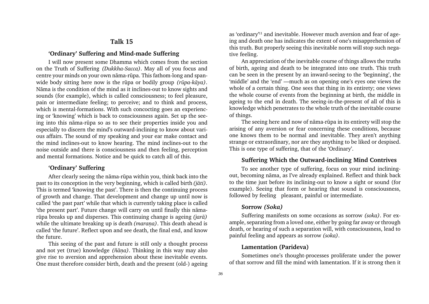## Talk 15

#### Ordinary Suffering and Mind-made Suffering

<span id="page-36-0"></span>I will now present some Dhamma which comes from the section on the Truth of Suffering (Dukkha-Sacca). May all of you focus and centre your minds on your own nàma-råpa. This fathom-long and spanwide body sitting here now is the rūpa or bodily group (rūpa-kāya). Nàma is the condition of the mind as it inclines-out to know sights and sounds (for example), which is called consciousness; to feel pleasure, pain or intermediate feeling; to perceive; and to think and process, which is mental-formations. With such concocting goes an experiencing or 'knowing' which is back to consciousness again. Set up the seeing into this nàma-råpa so as to see their properties inside you and especially to discern the mind's outward-inclining to know about various affairs. The sound of my speaking and your ear make contact and the mind inclines-out to know hearing. The mind inclines-out to the noise outside and there is consciousness and then feeling, perception and mental formations. Notice and be quick to catch all of this.

## 'Ordinary' Suffering

After clearly seeing the nàma-råpa within you, think back into the past to its conception in the very beginning, which is called birth (jāti). This is termed 'knowing the past'. There is then the continuing process of growth and change. That development and change up until now is called 'the past part' while that which is currently taking place is called the present part. Future change will carry on until finally this nàmaråpa breaks up and disperses. This continuing change is ageing (jarà) while the ultimate breaking up is death (marana). This death ahead is called 'the future'. Reflect upon and see death, the final end, and know the future.

This seeing of the past and future is still only a thought process and not yet (true) knowledge *(ñāna)*. Thinking in this way may also give rise to aversion and apprehension about these inevitable events. One must therefore consider birth, death and the present (old-) ageing as 'ordinary<sup>11</sup> and inevitable. However much aversion and fear of ageing and death one has indicates the extent of one's misapprehension of this truth. But properly seeing this inevitable norm will stop such negative feeling.

An appreciation of the inevitable course of things allows the truths of birth, ageing and death to be integrated into one truth. This truth can be seen in the present by an inward-seeing to the 'beginning', the 'middle' and the 'end' —much as on opening one's eyes one views the whole of a certain thing. One sees that thing in its entirety; one views the whole course of events from the beginning at birth, the middle in ageing to the end in death. The seeing-in-the-present of all of this is knowledge which penetrates to the whole truth of the inevitable course of things.

The seeing here and now of nàma-råpa in its entirety will stop the arising of any aversion or fear concerning these conditions, because one knows them to be normal and inevitable. They aren't anything strange or extraordinary, nor are they anything to be liked or despised. This is one type of suffering, that of the 'Ordinary'.

#### Suffering Which the Outward-inclining Mind Contrives

To see another type of suffering, focus on your mind incliningout, becoming nàma, as Ive already explained. Reflect and think back to the time just before its inclining-out to know a sight or sound (for example). Seeing that form or hearing that sound is consciousness, followed by feeling pleasant, painful or intermediate.

#### Sorrow (Soka)

Suffering manifests on some occasions as sorrow (soka). For example, separating from a loved one, either by going far away or through death, or hearing of such a separation will, with consciousness, lead to painful feeling and appears as sorrow (soka).

#### Lamentation (Parideva)

Sometimes one's thought-processes proliferate under the power of that sorrow and fill the mind with lamentation. If it is strong then it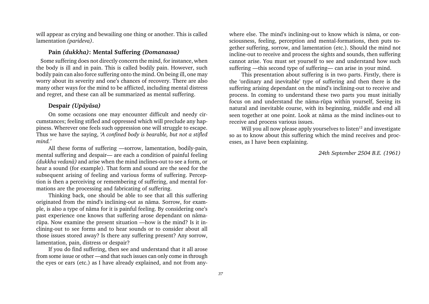will appear as crying and bewailing one thing or another. This is called lamentation (parideva).

#### Pain (dukkha): Mental Suffering (Domanassa)

Some suffering does not directly concern the mind, for instance, when the body is ill and in pain. This is called bodily pain. However, such bodily pain can also force suffering onto the mind. On being ill, one may worry about its severity and one's chances of recovery. There are also many other ways for the mind to be afflicted, including mental distress and regret, and these can all be summarized as mental suffering.

## Despair (Upāyāsa)

On some occasions one may encounter difficult and needy circumstances; feeling stifled and oppressed which will preclude any happiness. Wherever one feels such oppression one will struggle to escape. Thus we have the saying, 'A confined body is bearable, but not a stifled mind.'

All these forms of suffering - sorrow, lamentation, bodily-pain, mental suffering and despair— are each a condition of painful feeling (dukkha vedanà) and arise when the mind inclines-out to see a form, or hear a sound (for example). That form and sound are the seed for the subsequent arising of feeling and various forms of suffering. Perception is then a perceiving or remembering of suffering, and mental formations are the processing and fabricating of suffering.

Thinking back, one should be able to see that all this suffering originated from the mind's inclining-out as nāma. Sorrow, for example, is also a type of nāma for it is painful feeling. By considering one's past experience one knows that suffering arose dependant on nàmarūpa. Now examine the present situation —how is the mind? Is it inclining-out to see forms and to hear sounds or to consider about all those issues stored away? Is there any suffering present? Any sorrow, lamentation, pain, distress or despair?

If you do find suffering, then see and understand that it all arose from some issue or other —and that such issues can only come in through the eyes or ears (etc.) as I have already explained, and not from anywhere else. The mind's inclining-out to know which is nāma, or consciousness, feeling, perception and mental-formations, then puts together suffering, sorrow, and lamentation (etc.). Should the mind not incline-out to receive and process the sights and sounds, then suffering cannot arise. You must set yourself to see and understand how such suffering —this second type of suffering— can arise in your mind.

This presentation about suffering is in two parts. Firstly, there is the 'ordinary and inevitable' type of suffering and then there is the suffering arising dependant on the mind's inclining-out to receive and process. In coming to understand these two parts you must initially focus on and understand the nàma-råpa within yourself, Seeing its natural and inevitable course, with its beginning, middle and end all seen together at one point. Look at nàma as the mind inclines-out to receive and process various issues.

Will you all now please apply yourselves to listen<sup>12</sup> and investigate so as to know about this suffering which the mind receives and processes, as I have been explaining.

24th September 2504 B.E. (1961)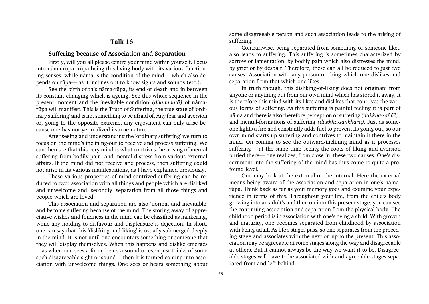## Talk 16

#### Suffering because of Association and Separation

<span id="page-38-0"></span>Firstly, will you all please centre your mind within yourself. Focus into nàma-råpa: råpa being this living body with its various functioning senses, while nāma is the condition of the mind —which also depends on rūpa— as it inclines out to know sights and sounds (etc.).

See the birth of this nàma-råpa, its end or death and in between its constant changing which is ageing. See this whole sequence in the present moment and the inevitable condition (dhammatà) of nàmarūpa will manifest. This is the Truth of Suffering, the true state of 'ordinary suffering' and is not something to be afraid of. Any fear and aversion or, going to the opposite extreme, any enjoyment can only arise because one has not yet realized its true nature.

After seeing and understanding the 'ordinary suffering' we turn to focus on the mind's inclining-out to receive and process suffering. We can then see that this very mind is what contrives the arising of mental suffering from bodily pain, and mental distress from various external affairs. If the mind did not receive and process, then suffering could not arise in its various manifestations, as I have explained previously.

These various properties of mind-contrived suffering can be reduced to two: association with all things and people which are disliked and unwelcome and, secondly, separation from all those things and people which are loved.

This association and separation are also 'normal and inevitable' and become suffering because of the mind. The storing away of appreciative wishes and fondness in the mind can be classified as hankering, while any holding to disfavour and displeasure is dejection. In short, one can say that this 'disliking-and-liking' is usually submerged deeply in the mind. It is not until one encounters something or someone that they will display themselves. When this happens and dislike emerges  $-$ as when one sees a form, hears a sound or even just thinks of some such disagreeable sight or sound —then it is termed coming into association with unwelcome things. One sees or hears something about some disagreeable person and such association leads to the arising of suffering.

Contrariwise, being separated from something or someone liked also leads to suffering. This suffering is sometimes characterized by sorrow or lamentation, by bodily pain which also distresses the mind, by grief or by despair. Therefore, these can all be reduced to just two causes: Association with any person or thing which one dislikes and separation from that which one likes.

In truth though, this disliking-or-liking does not originate from anyone or anything but from our own mind which has stored it away. It is therefore this mind with its likes and dislikes that contrives the various forms of suffering. As this suffering is painful feeling it is part of nāma and there is also therefore perception of suffering  $(dukkha-saññ\bar{a})$ , and mental-formations of suffering (dukkha-sankhàra). Just as someone lights a fire and constantly adds fuel to prevent its going out, so our own mind starts up suffering and contrives to maintain it there in the mind. On coming to see the outward-inclining mind as it processes suffering —at the same time seeing the roots of liking and aversion buried there— one realizes, from close in, these two causes. One's discernment into the suffering of the mind has thus come to quite a profound level.

One may look at the external or the internal. Here the external means being aware of the association and separation in one's nāmaråpa. Think back as far as your memory goes and examine your experience in terms of this. Throughout your life, from the child's body growing into an adult's and then on into this present stage, you can see the continuing association and separation from the physical body. The childhood period is in association with one's being a child. With growth and maturity, one becomes separated from childhood by association with being adult. As life's stages pass, so one separates from the preceding stage and associates with the next on up to the present. This association may be agreeable at some stages along the way and disagreeable at others. But it cannot always be the way we want it to be. Disagreeable stages will have to be associated with and agreeable stages separated from and left behind.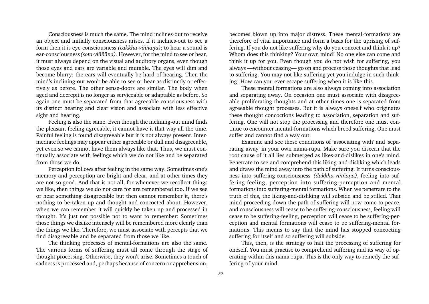Consciousness is much the same. The mind inclines-out to receive an object and initially consciousness arises. If it inclines-out to see a form then it is eye-consciousness (cakkhu-viññāna); to hear a sound is ear-consciousness (sota-viññana). However, for the mind to see or hear, it must always depend on the visual and auditory organs, even though those eyes and ears are variable and mutable. The eyes will dim and become blurry; the ears will eventually be hard of hearing. Then the mind's inclining-out won't be able to see or hear as distinctly or effectively as before. The other sense-doors are similar. The body when aged and decrepit is no longer as serviceable or adaptable as before. So again one must be separated from that agreeable consciousness with its distinct hearing and clear vision and associate with less effective sight and hearing.

Feeling is also the same. Even though the inclining-out mind finds the pleasant feeling agreeable, it cannot have it that way all the time. Painful feeling is found disagreeable but it is not always present. Intermediate feelings may appear either agreeable or dull and disagreeable, yet even so we cannot have them always like that. Thus, we must continually associate with feelings which we do not like and be separated from those we do.

Perception follows after feeling in the same way. Sometimes one's memory and perception are bright and clear, and at other times they are not so good. And that is not all, for whenever we recollect things we like, then things we do not care for are remembered too. If we see or hear something disagreeable but then cannot remember it, there's nothing to be taken up and thought and concocted about. However, when we can remember it will quickly be taken up and processed in thought. It's just not possible not to want to remember: Sometimes those things we dislike intensely will be remembered more clearly than the things we like. Therefore, we must associate with percepts that we find disagreeable and be separated from those we like.

The thinking processes of mental-formations are also the same. The various forms of suffering must all come through the stage of thought processing. Otherwise, they won't arise. Sometimes a touch of sadness is processed and, perhaps because of concern or apprehension, becomes blown up into major distress. These mental-formations are therefore of vital importance and form a basis for the uprising of suffering. If you do not like suffering why do you concoct and think it up? Whom does this thinking? Your own mind! No one else can come and think it up for you. Even though you do not wish for suffering, you always —without ceasing — go on and process those thoughts that lead to suffering. You may not like suffering yet you indulge in such thinking! How can you ever escape suffering when it is like this.

These mental formations are also always coming into association and separating away. On occasion one must associate with disagreeable proliferating thoughts and at other times one is separated from agreeable thought processes. But it is always oneself who originates these thought concoctions leading to association, separation and suffering. One will not stop the processing and therefore one must continue to encounter mental-formations which breed suffering. One must suffer and cannot find a way out.

Examine and see these conditions of 'associating with' and 'separating away in your own nàma-råpa. Make sure you discern that the root cause of it all lies submerged as likes-and-dislikes in one's mind. Penetrate to see and comprehend this liking-and-disliking which leads and draws the mind away into the path of suffering. It turns consciousness into suffering-consciousness (dukkha-viññāna), feeling into suffering-feeling, perception into suffering-perception and mental formations into suffering-mental formations. When we penetrate to the truth of this, the liking-and-disliking will subside and be stilled. That mind proceeding down the path of suffering will now come to peace, and consciousness will cease to be suffering-consciousness, feeling will cease to be suffering-feeling, perception will cease to be suffering-perception and mental formations will cease to be suffering-mental formations. This means to say that the mind has stopped concocting suffering for itself and so suffering will subside.

This, then, is the strategy to halt the processing of suffering for oneself. You must practise to comprehend suffering and its way of operating within this nàma-råpa. This is the only way to remedy the suffering of your mind.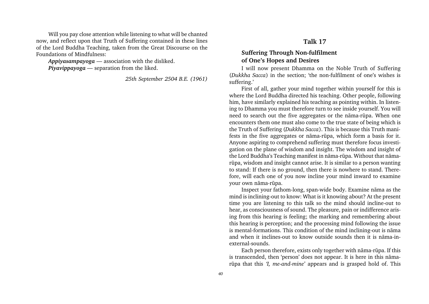<span id="page-40-0"></span>Will you pay close attention while listening to what will be chanted now, and reflect upon that Truth of Suffering contained in these lines of the Lord Buddha Teaching, taken from the Great Discourse on the Foundations of Mindfulness:

Appiyasampayoga  $\equiv$  association with the disliked. **Piyavippayoga**  $-$  separation from the liked.

25th September 2504 B.E. (1961)

## Talk 17

## Suffering Through Non-fulfilment of One's Hopes and Desires

I will now present Dhamma on the Noble Truth of Suffering (Dukkha Sacca) in the section; 'the non-fulfilment of one's wishes is suffering.

First of all, gather your mind together within yourself for this is where the Lord Buddha directed his teaching. Other people, following him, have similarly explained his teaching as pointing within. In listening to Dhamma you must therefore turn to see inside yourself. You will need to search out the five aggregates or the nàma-råpa. When one encounters them one must also come to the true state of being which is the Truth of Suffering (Dukkha Sacca). This is because this Truth manifests in the five aggregates or nàma-råpa, which form a basis for it. Anyone aspiring to comprehend suffering must therefore focus investigation on the plane of wisdom and insight. The wisdom and insight of the Lord Buddha's Teaching manifest in nāma-rūpa. Without that nāmaråpa, wisdom and insight cannot arise. It is similar to a person wanting to stand: If there is no ground, then there is nowhere to stand. Therefore, will each one of you now incline your mind inward to examine your own nàma-råpa.

Inspect your fathom-long, span-wide body. Examine nàma as the mind is inclining-out to know: What is it knowing about? At the present time you are listening to this talk so the mind should incline-out to hear, as consciousness of sound. The pleasure, pain or indifference arising from this hearing is feeling; the marking and remembering about this hearing is perception; and the processing mind following the issue is mental-formations. This condition of the mind inclining-out is nàma and when it inclines-out to know outside sounds then it is nàma-inexternal-sounds.

Each person therefore, exists only together with nàma-råpa. If this is transcended, then 'person' does not appear. It is here in this nāmarūpa that this '*I*, me-and-mine' appears and is grasped hold of. This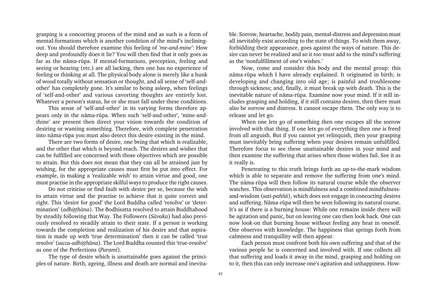grasping is a concocting process of the mind and as such is a form of mental-formations which is another condition of the mind's incliningout. You should therefore examine this feeling of 'me-and-mine': How deep and profoundly does it lie? You will then find that it only goes as far as the nàma-råpa. If mental-formations, perception, feeling and seeing or hearing (etc.) are all lacking, then one has no experience of feeling or thinking at all. The physical body alone is merely like a hunk of wood totally without sensation or thought, and all sense of 'self-andother' has completely gone. It's similar to being asleep, when feelings of 'self-and-other' and various cavorting thoughts are entirely lost. Whatever a person's status, he or she must fall under these conditions.

This sense of 'self-and-other' in its varying forms therefore appears only in the nāma-rūpa. When such 'self-and-other', 'mine-andthine' are present then direct your vision towards the condition of desiring or wanting something. Therefore, with complete penetration into nàma-råpa you must also detect this desire existing in the mind.

There are two forms of desire, one being that which is realizable, and the other that which is beyond reach. The desires and wishes that can be fulfilled are concerned with those objectives which are possible to attain. But this does not mean that they can all be attained just by wishing, for the appropriate causes must first be put into effect. For example, in making a 'realizable wish' to attain virtue and good, one must practise in the appropriate skilful ways to produce the right causes.

Do not criticise or find fault with desire per se, because the wish to attain virtue and the practise to achieve that is quite correct and right. This 'desire for good' the Lord Buddha called 'resolve' or 'determination' (adhitthāna). The Bodhisatta resolved to attain Buddhahood by steadily following that Way. The Followers (Sāvaka) had also previously resolved to steadily attain to their state. If a person is working towards the completion and realization of his desire and that aspiration is made up with 'true determination' then it can be called 'true resolve' (sacca-adhitthāna). The Lord Buddha counted this 'true-resolve' as one of the Perfections (Paramã).

The type of desire which is unattainable goes against the principles of nature. Birth, ageing, illness and death are normal and inevitable. Sorrow, heartache, bodily pain, mental-distress and depression must all inevitably exist according to the state of things. To wish them away, forbidding their appearance, goes against the ways of nature. This desire can never be realized and so it too must add to the mind's suffering as the 'nonfulfillment of one's wishes.'

Now, come and consider this body and the mental group: this nàma-råpa which I have already explained. It originated in birth; is developing and changing into old age; is painful and troublesome through sickness; and, finally, it must break up with death. This is the inevitable nature of nàma-råpa. Examine now your mind. If it still includes grasping and holding, if it still contains desires, then there must also be sorrow and distress. It cannot escape them. The only way is to release and let go.

When one lets go of something then one escapes all the sorrow involved with that thing. If one lets go of everything then one is freed from all anguish. But if you cannot yet relinquish, then your grasping must inevitably bring suffering when your desires remain unfulfilled. Therefore focus to see these unattainable desires in your mind and then examine the suffering that arises when those wishes fail. See it as it really is.

Penetrating to this truth brings forth an up-to-the-mark wisdom which is able to separate and remove the suffering from one's mind. The nàma-råpa will then follow its natural course while the observer watches. This observation is mindfulness and a combined mindfulnessand-wisdom (sati-paññā), which does not engage in concocting desires and suffering. Nàma-råpa will then be seen following its natural course. It's as if there is a burning house: While one remains inside there will be agitation and panic, but on leaving one can then look back. One can now look-on that burning house without feeling any heat in oneself. One observes with knowledge. The happiness that springs forth from calmness and tranquillity will then appear.

Each person must confront both his own suffering and that of the various people he is concerned and involved with. If one collects all that suffering and loads it away in the mind, grasping and holding on to it, then this can only increase one's agitation and unhappiness. How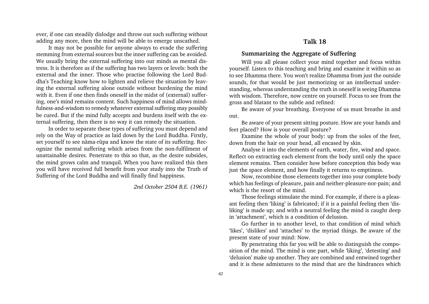<span id="page-42-0"></span>ever, if one can steadily dislodge and throw out such suffering without adding any more, then the mind will be able to emerge unscathed.

It may not be possible for anyone always to evade the suffering stemming from external sources but the inner suffering can be avoided. We usually bring the external suffering into our minds as mental distress. It is therefore as if the suffering has two layers or levels: both the external and the inner. Those who practise following the Lord Buddha's Teaching know how to lighten and relieve the situation by leaving the external suffering alone outside without burdening the mind with it. Even if one then finds oneself in the midst of (external) suffering, one's mind remains content. Such happiness of mind allows mindfulness-and-wisdom to remedy whatever external suffering may possibly be cured. But if the mind fully accepts and burdens itself with the external suffering, then there is no way it can remedy the situation.

In order to separate these types of suffering you must depend and rely on the Way of practice as laid down by the Lord Buddha. Firstly, set yourself to see nàma-råpa and know the state of its suffering. Recognize the mental suffering which arises from the non-fulfilment of unattainable desires. Penetrate to this so that, as the desire subsides, the mind grows calm and tranquil. When you have realized this then you will have received full benefit from your study into the Truth of Suffering of the Lord Buddha and will finally find happiness.

2nd October 2504 B.E. (1961)

## Talk 18

#### Summarizing the Aggregate of Suffering

Will you all please collect your mind together and focus within yourself. Listen to this teaching and bring and examine it within so as to see Dhamma there. You won't realize Dhamma from just the outside sounds, for that would be just memorizing or an intellectual understanding, whereas understanding the truth in oneself is seeing Dhamma with wisdom. Therefore, now centre on yourself. Focus to see from the gross and blatant to the subtle and refined:

Be aware of your breathing. Everyone of us must breathe in and out.

Be aware of your present sitting posture. How are your hands and feet placed? How is your overall posture?

Examine the whole of your body: up from the soles of the feet, down from the hair on your head, all encased by skin.

Analyse it into the elements of earth, water, fire, wind and space. Reflect on extracting each element from the body until only the space element remains. Then consider how before conception this body was just the space element, and how finally it returns to emptiness.

Now, recombine those elements together into your complete body which has feelings of pleasure, pain and neither-pleasure-nor-pain; and which is the resort of the mind.

Those feelings stimulate the mind. For example, if there is a pleasant feeling then 'liking' is fabricated; if it is a painful feeling then 'disliking' is made up; and with a neutral feeling the mind is caught deep in 'attachment', which is a condition of delusion.

Go further in to another level, to that condition of mind which likes', 'dislikes' and 'attaches' to the myriad things. Be aware of the present state of your mind: Now.

By penetrating this far you will be able to distinguish the composition of the mind. The mind is one part, while 'liking', 'detesting' and 'delusion' make up another. They are combined and entwined together and it is these admixtures to the mind that are the hindrances which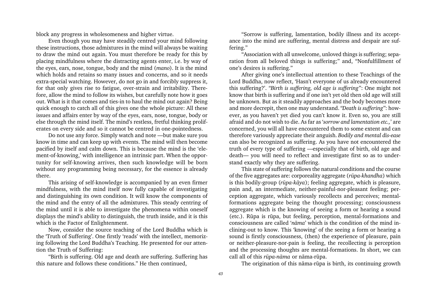block any progress in wholesomeness and higher virtue.

Even though you may have steadily centred your mind following these instructions, those admixtures in the mind will always be waiting to draw the mind out again. You must therefore be ready for this by placing mindfulness where the distracting agents enter, i.e. by way of the eyes, ears, nose, tongue, body and the mind (mano). It is the mind which holds and retains so many issues and concerns, and so it needs extra-special watching. However, do not go in and forcibly suppress it, for that only gives rise to fatigue, over-strain and irritability. Therefore, allow the mind to follow its wishes, but carefully note how it goes out. What is it that comes and ties-in to haul the mind out again? Being quick enough to catch all of this gives one the whole picture: All these issues and affairs enter by way of the eyes, ears, nose, tongue, body or else through the mind itself. The mind's restless, fretful thinking proliferates on every side and so it cannot be centred in one-pointedness.

Do not use any force. Simply watch and note —but make sure you know in time and can keep up with events. The mind will then become pacified by itself and calm down. This is because the mind is the 'element-of-knowing,' with intelligence an intrinsic part. When the opportunity for self-knowing arrives, then such knowledge will be born without any programming being necessary, for the essence is already there.

This arising of self-knowledge is accompanied by an even firmer mindfulness, with the mind itself now fully capable of investigating and distinguishing its own condition. It will know the components of the mind and the entry of all the admixtures. This steady centring of the mind until it is able to investigate the phenomena within oneself displays the mind's ability to distinguish, the truth inside, and it is this which is the Factor of Enlightenment.

Now, consider the source teaching of the Lord Buddha which is the 'Truth of Suffering'. One firstly 'reads' with the intellect, memorizing following the Lord Buddha's Teaching. He presented for our attention the Truth of Suffering:

Birth is suffering. Old age and death are suffering. Suffering has this nature and follows these conditions." He then continued,

Sorrow is suffering, lamentation, bodily illness and its acceptance into the mind are suffering, mental distress and despair are suffering.

Association with all unwelcome, unloved things is suffering; separation from all beloved things is suffering;" and, "Nonfulfillment of one's desires is suffering."

After giving one's intellectual attention to these Teachings of the Lord Buddha, now reflect, 'Hasn't everyone of us already encountered this suffering?'. "Birth is suffering, old age is suffering": One might not know that birth is suffering and if one isn't yet old then old age will still be unknown. But as it steadily approaches and the body becomes more and more decrepit, then one may understand. "Death is suffering": however, as you haven't yet died you can't know it. Even so, you are still afraid and do not wish to die. As far as 'sorrow and lamentation etc.,' are concerned, you will all have encountered them to some extent and can therefore variously appreciate their anguish. Bodily and mental dis-ease can also be recognized as suffering. As you have not encountered the truth of every type of suffering —especially that of birth, old age and death— you will need to reflect and investigate first so as to understand exactly why they are suffering.

This state of suffering follows the natural conditions and the course of the five aggregates are: corporeality aggregate (råpa-khandha) which is this bodily-group ( $r\bar{u}pa-k\bar{a}ya$ ); feeling aggregate, which is pleasure, pain and, an intermediate, neither-painful-nor-pleasant feeling; perception aggregate, which variously recollects and perceives; mentalformations aggregate being the thought processing; consciousness aggregate which is the knowing of seeing a form or hearing a sound (etc.). Råpa is råpa, but feeling, perception, mental-formations and consciousness are called 'nāma' which is the condition of the mind inclining-out to know. This 'knowing' of the seeing a form or hearing a sound is firstly consciousness, (then) the experience of pleasure, pain or neither-pleasure-nor-pain is feeling, the recollecting is perception and the processing thoughts are mental-formations. In short, we can call all of this rūpa-nāma or nāma-rūpa.

The origination of this nàma-råpa is birth, its continuing growth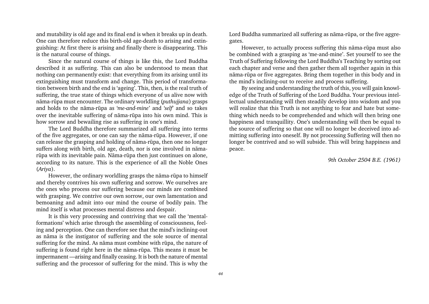and mutability is old age and its final end is when it breaks up in death. One can therefore reduce this birth-old age-death to arising and extinguishing: At first there is arising and finally there is disappearing. This is the natural course of things.

Since the natural course of things is like this, the Lord Buddha described it as suffering. This can also be understood to mean that nothing can permanently exist: that everything from its arising until its extinguishing must transform and change. This period of transformation between birth and the end is 'ageing'. This, then, is the real truth of suffering, the true state of things which everyone of us alive now with nàma-råpa must encounter. The ordinary worldling (puthujjana) grasps and holds to the nāma-rūpa as 'me-and-mine' and 'self' and so takes over the inevitable suffering of nàma-råpa into his own mind. This is how sorrow and bewailing rise as suffering in one's mind.

The Lord Buddha therefore summarized all suffering into terms of the five aggregates, or one can say the nàma-råpa. However, if one can release the grasping and holding of nàma-råpa, then one no longer suffers along with birth, old age, death, nor is one involved in nàmaråpa with its inevitable pain. Nàma-råpa then just continues on alone, according to its nature. This is the experience of all the Noble Ones (Ariya).

However, the ordinary worldling grasps the nāma-rūpa to himself and thereby contrives his own suffering and sorrow. We ourselves are the ones who process our suffering because our minds are combined with grasping. We contrive our own sorrow, our own lamentation and bemoaning and admit into our mind the course of bodily pain. The mind itself is what processes mental distress and despair.

It is this very processing and contriving that we call the 'mentalformations' which arise through the assembling of consciousness, feeling and perception. One can therefore see that the mind's inclining-out as nàma is the instigator of suffering and the sole source of mental suffering for the mind. As nàma must combine with råpa, the nature of suffering is found right here in the nàma-råpa. This means it must be impermanent —arising and finally ceasing. It is both the nature of mental suffering and the processor of suffering for the mind. This is why the Lord Buddha summarized all suffering as nàma-råpa, or the five aggregates.

However, to actually process suffering this nàma-råpa must also be combined with a grasping as 'me-and-mine'. Set yourself to see the Truth of Suffering following the Lord Buddha's Teaching by sorting out each chapter and verse and then gather them all together again in this nàma-råpa or five aggregates. Bring them together in this body and in the mind's inclining-out to receive and process suffering.

By seeing and understanding the truth of this, you will gain knowledge of the Truth of Suffering of the Lord Buddha. Your previous intellectual understanding will then steadily develop into wisdom and you will realize that this Truth is not anything to fear and hate but something which needs to be comprehended and which will then bring one happiness and tranquillity. One's understanding will then be equal to the source of suffering so that one will no longer be deceived into admitting suffering into oneself. By not processing Suffering will then no longer be contrived and so will subside. This will bring happiness and peace.

9th October 2504 B.E. (1961)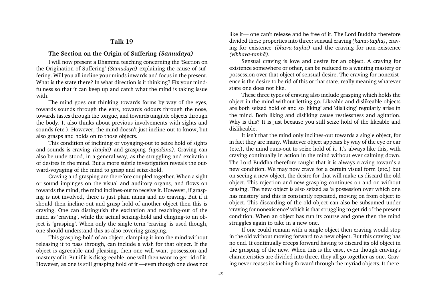## Talk 19

#### The Section on the Origin of Suffering (Samudaya)

<span id="page-45-0"></span>I will now present a Dhamma teaching concerning the 'Section on the Origination of Suffering' (Samudaya) explaining the cause of suffering. Will you all incline your minds inwards and focus in the present. What is the state there? In what direction is it thinking? Fix your mindfulness so that it can keep up and catch what the mind is taking issue with.

The mind goes out thinking towards forms by way of the eyes, towards sounds through the ears, towards odours through the nose, towards tastes through the tongue, and towards tangible objects through the body. It also thinks about previous involvements with sights and sounds (etc.). However, the mind doesn't just incline-out to know, but also grasps and holds on to those objects.

This condition of inclining or voyaging-out to seize hold of sights and sounds is craving *(tanhā)* and grasping *(upādāna)*. Craving can also be understood, in a general way, as the struggling and excitation of desires in the mind. But a more subtle investigation reveals the outward-voyaging of the mind to grasp and seize-hold.

Craving and grasping are therefore coupled together. When a sight or sound impinges on the visual and auditory organs, and flows on towards the mind, the mind inclines-out to receive it. However, if grasping is not involved, there is just plain nàma and no craving. But if it should then incline-out and grasp hold of another object then this is craving. One can distinguish the excitation and reaching-out of the mind as 'craving', while the actual seizing-hold and clinging-to an object is 'grasping'. When only the single term 'craving' is used though, one should understand this as also covering grasping.

This grasping-hold of an object, clamping it into the mind without releasing it to pass through, can include a wish for that object. If the object is agreeable and pleasing, then one will want possession and mastery of it. But if it is disagreeable, one will then want to get rid of it. However, as one is still grasping hold of it —even though one does not like it one can't release and be free of it. The Lord Buddha therefore divided these properties into three: sensual craving  $(k\bar{a}$ ma-tanh $\bar{a})$ , craving for existence (bhava-tanhā) and the craving for non-existence (vibhava-tanhā).

Sensual craving is love and desire for an object. A craving for existence somewhere or other, can be reduced to a wanting mastery or possession over that object of sensual desire. The craving for nonexistence is the desire to be rid of this or that state, really meaning whatever state one does not like.

These three types of craving also include grasping which holds the object in the mind without letting go. Likeable and dislikeable objects are both seized hold of and so 'liking' and 'disliking' regularly arise in the mind. Both liking and disliking cause restlessness and agitation. Why is this? It is just because you still seize hold of the likeable and dislikeable.

It isn't that the mind only inclines-out towards a single object, for in fact they are many. Whatever object appears by way of the eye or ear (etc.), the mind runs-out to seize hold of it. It's always like this, with craving continually in action in the mind without ever calming down. The Lord Buddha therefore taught that it is always craving towards a new condition. We may now crave for a certain visual form (etc.) but on seeing a new object, the desire for that will make us discard the old object. This rejection and new grasping continues on and on without ceasing. The new object is also seized as 'a possession over which one has mastery' and this is constantly repeated, moving on from object to object. This discarding of the old object can also be subsumed under craving for nonexistence which is that struggling to get rid of the present condition. When an object has run its course and gone then the mind struggles again to take in a new one.

If one could remain with a single object then craving would stop in the old without moving forward to a new object. But this craving has no end. It continually creeps forward having to discard its old object in the grasping of the new. When this is the case, even though craving's characteristics are divided into three, they all go together as one. Craving never ceases its inching forward through the myriad objects. It there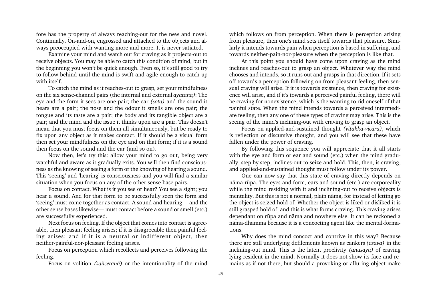fore has the property of always reaching-out for the new and novel. Continually. On-and-on, engrossed and attached to the objects and always preoccupied with wanting more and more. It is never satiated.

Examine your mind and watch out for craving as it projects-out to receive objects. You may be able to catch this condition of mind, but in the beginning you won't be quick enough. Even so, it's still good to try to follow behind until the mind is swift and agile enough to catch up with itself.

To catch the mind as it reaches-out to grasp, set your mindfulness on the six sense-channel pairs (the internal and external àyatana): The eye and the form it sees are one pair; the ear (sota) and the sound it hears are a pair; the nose and the odour it smells are one pair; the tongue and its taste are a pair; the body and its tangible object are a pair; and the mind and the issue it thinks upon are a pair. This doesn't mean that you must focus on them all simultaneously, but be ready to fix upon any object as it makes contact. If it should be a visual form then set your mindfulness on the eye and on that form; if it is a sound then focus on the sound and the ear (and so on).

Now then, let's try this: allow your mind to go out, being very watchful and aware as it gradually exits. You will then find consciousness as the knowing of seeing a form or the knowing of hearing a sound. This 'seeing' and 'hearing' is consciousness and you will find a similar situation when you focus on any of the other sense base pairs.

Focus on contact. What is it you see or hear? You see a sight; you hear a sound. And for that form to be successfully seen the form and 'seeing' must come together as contact. A sound and hearing —and the other sense bases likewise— must contact before a sound or smell (etc.) are successfully experienced.

Next focus on feeling. If the object that comes into contact is agreeable, then pleasant feeling arises; if it is disagreeable then painful feeling arises; and if it is a neutral or indifferent object, then neither-painful-nor-pleasant feeling arises.

Focus on perception which recollects and perceives following the feeling.

Focus on volition *(sañcetanā)* or the intentionality of the mind

which follows on from perception. When there is perception arising from pleasure, then one's mind sets itself towards that pleasure. Similarly it intends towards pain when perception is based in suffering, and towards neither-pain-nor-pleasure when the perception is like that.

At this point you should have come upon craving as the mind inclines and reaches-out to grasp an object. Whatever way the mind chooses and intends, so it runs out and grasps in that direction. If it sets off towards a perception following on from pleasant feeling, then sensual craving will arise. If it is towards existence, then craving for existence will arise, and if it's towards a perceived painful feeling, there will be craving for nonexistence, which is the wanting to rid oneself of that painful state. When the mind intends towards a perceived intermediate feeling, then any one of these types of craving may arise. This is the seeing of the mind's inclining-out with craving to grasp an object.

Focus on applied-and-sustained thought (vitakka-vicāra), which is reflection or discursive thought, and you will see that these have fallen under the power of craving.

By following this sequence you will appreciate that it all starts with the eye and form or ear and sound (etc.) when the mind gradually, step by step, inclines-out to seize and hold. This, then, is craving, and applied-and-sustained thought must follow under its power.

One can now say that this state of craving directly depends on nàma-råpa. The eyes and form, ears and sound (etc.) are corporeality while the mind residing with it and inclining-out to receive objects is mentality. But this is not a normal, plain nàma, for instead of letting go the object is seized hold of. Whether the object is liked or disliked it is still grasped hold of, and this is what forms craving. This craving arises dependant on rūpa and nāma and nowhere else. It can be reckoned a nàma-dhamma because it is a concocting agent like the mental-formations.

Why does the mind concoct and contrive in this way? Because there are still underlying defilements known as cankers (àsava) in the inclining-out mind. This is the latent proclivity (anusaya) of craving lying resident in the mind. Normally it does not show its face and remains as if not there, but should a provoking or alluring object make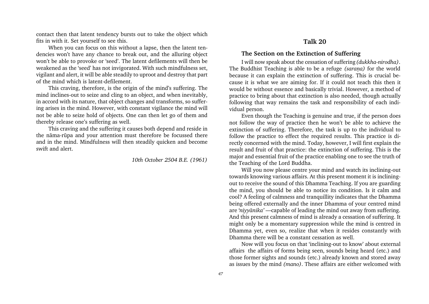<span id="page-47-0"></span>contact then that latent tendency bursts out to take the object which fits in with it. Set yourself to see this.

When you can focus on this without a lapse, then the latent tendencies won't have any chance to break out, and the alluring object won't be able to provoke or 'seed'. The latent defilements will then be weakened as the 'seed' has not invigorated. With such mindfulness set, vigilant and alert, it will be able steadily to uproot and destroy that part of the mind which is latent-defilement.

This craving, therefore, is the origin of the mind's suffering. The mind inclines-out to seize and cling to an object, and when inevitably, in accord with its nature, that object changes and transforms, so suffering arises in the mind. However, with constant vigilance the mind will not be able to seize hold of objects. One can then let go of them and thereby release one's suffering as well.

This craving and the suffering it causes both depend and reside in the nàma-råpa and your attention must therefore be focussed there and in the mind. Mindfulness will then steadily quicken and become swift and alert.

10th October 2504 B.E. (1961)

## Talk 20

#### The Section on the Extinction of Suffering

I will now speak about the cessation of suffering (dukkha-nirodha). The Buddhist Teaching is able to be a refuge (saraṇa) for the world because it can explain the extinction of suffering. This is crucial because it is what we are aiming for. If it could not teach this then it would be without essence and basically trivial. However, a method of practice to bring about that extinction is also needed, though actually following that way remains the task and responsibility of each individual person.

Even though the Teaching is genuine and true, if the person does not follow the way of practice then he won't be able to achieve the extinction of suffering. Therefore, the task is up to the individual to follow the practice to effect the required results. This practice is directly concerned with the mind. Today, however, I will first explain the result and fruit of that practice: the extinction of suffering. This is the major and essential fruit of the practice enabling one to see the truth of the Teaching of the Lord Buddha.

Will you now please centre your mind and watch its inclining-out towards knowing various affairs. At this present moment it is incliningout to receive the sound of this Dhamma Teaching. If you are guarding the mind, you should be able to notice its condition. Is it calm and cool? A feeling of calmness and tranquillity indicates that the Dhamma being offered externally and the inner Dhamma of your centred mind are 'niyyānika' — capable of leading the mind out away from suffering. And this present calmness of mind is already a cessation of suffering. It might only be a momentary suppression while the mind is centred in Dhamma yet, even so, realize that when it resides constantly with Dhamma there will be a constant cessation as well.

Now will you focus on that 'inclining-out to know' about external affairs the affairs of forms being seen, sounds being heard (etc.) and those former sights and sounds (etc.) already known and stored away as issues by the mind (mano). These affairs are either welcomed with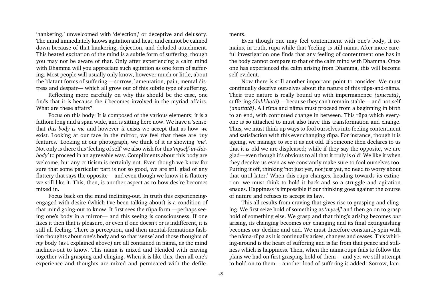'hankering,' unwelcomed with 'dejection,' or deceptive and delusory. The mind immediately knows agitation and heat, and cannot be calmed down because of that hankering, dejection, and deluded attachment. This heated excitation of the mind is a subtle form of suffering, though you may not be aware of that. Only after experiencing a calm mind with Dhamma will you appreciate such agitation as one form of suffering. Most people will usually only know, however much or little, about the blatant forms of suffering - sorrow, lamentation, pain, mental distress and despair— which all grow out of this subtle type of suffering.

Reflecting more carefully on why this should be the case, one finds that it is because the I becomes involved in the myriad affairs. What are these affairs?

Focus on this body: It is composed of the various elements; it is a fathom long and a span wide, and is sitting here now. We have a 'sense' that this body is me and however it exists we accept that as how we exist. Looking at our face in the mirror, we feel that these are 'my features.' Looking at our photograph, we think of it as showing 'me'. Not only is there this 'feeling of self' we also wish for this 'myself-in-thisbody' to proceed in an agreeable way. Compliments about this body are welcome, but any criticism is certainly not. Even though we know for sure that some particular part is not so good, we are still glad of any flattery that says the opposite —and even though we know it is flattery we still like it. This, then, is another aspect as to how desire becomes mixed in.

Focus back on the mind inclining-out. In truth this experiencingengaged-with-desire (which Ive been talking about) is a condition of that mind going-out to know. It first sees the rūpa form — perhaps seeing one's body in a mirror— and this seeing is consciousness. If one likes it then that is pleasure, or even if one doesn't or is indifferent, it is still all feeling. There is perception, and then mental-formations fashion thoughts about one's body and so that 'sense' and those thoughts of my body (as I explained above) are all contained in nàma, as the mind inclines-out to know. This nàma is mixed and blended with craving together with grasping and clinging. When it is like this, then all one's experience and thoughts are mixed and permeated with the defilements.

Even though one may feel contentment with one's body, it remains, in truth, rūpa while that 'feeling' is still nāma. After more careful investigation one finds that any feeling of contentment one has in the body cannot compare to that of the calm mind with Dhamma. Once one has experienced the calm arising from Dhamma, this will become self-evident.

Now there is still another important point to consider: We must continually deceive ourselves about the nature of this rūpa-and-nāma. Their true nature is really bound up with impermanence (aniccatà), suffering (dukkhatā)  $\rightarrow$  because they can't remain stable and not-self (anattatà). All råpa and nàma must proceed from a beginning in birth to an end, with continued change in between. This råpa which everyone is so attached to must also have this transformation and change. Thus, we must think up ways to fool ourselves into feeling contentment and satisfaction with this ever changing råpa. For instance, though it is ageing, we manage to see it as not old. If someone then declares to us that it is old we are displeased; while if they say the opposite, we are glad—even though it's obvious to all that it truly is old! We like it when they deceive us even as we constantly make sure to fool ourselves too. Putting it off, thinking 'not just yet, not just yet, no need to worry about that until later.' When this rūpa changes, heading towards its extinction, we must think to hold it back and so a struggle and agitation ensues. Happiness is impossible if our thinking goes against the course of nature and refuses to accept its law.

This all results from craving that gives rise to grasping and clinging. We first seize hold of something as '*myself*' and then go on to grasp hold of something else. We grasp and that thing's arising becomes our arising, its changing becomes our changing and its final extinguishing becomes our decline and end. We must therefore constantly spin with the nàma-råpa as it is continually arises, changes and ceases. This whirling-around is the heart of suffering and is far from that peace and stillness which is happiness. Then, when the nàma-råpa fails to follow the plans we had on first grasping hold of them —and yet we still attempt to hold on to them— another load of suffering is added: Sorrow, lam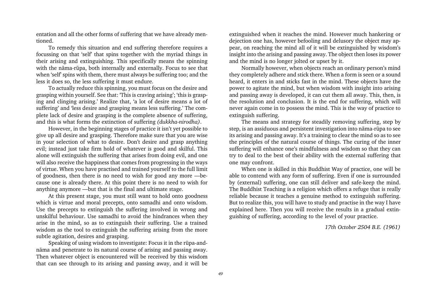entation and all the other forms of suffering that we have already mentioned.

To remedy this situation and end suffering therefore requires a focussing on that 'self' that spins together with the myriad things in their arising and extinguishing. This specifically means the spinning with the nāma-rūpa, both internally and externally. Focus to see that when 'self' spins with them, there must always be suffering too; and the less it does so, the less suffering it must endure.

To actually reduce this spinning, you must focus on the desire and grasping within yourself. See that: This is craving arising; this is grasping and clinging arising.' Realize that, 'a lot of desire means a lot of suffering' and 'less desire and grasping means less suffering.' The complete lack of desire and grasping is the complete absence of suffering, and this is what forms the extinction of suffering (dukkha-nirodha).

However, in the beginning stages of practice it isn't yet possible to give up all desire and grasping. Therefore make sure that you are wise in your selection of what to desire. Don't desire and grasp anything evil; instead just take firm hold of whatever is good and skilful. This alone will extinguish the suffering that arises from doing evil, and one will also receive the happiness that comes from progressing in the ways of virtue. When you have practised and trained yourself to the full limit of goodness, then there is no need to wish for good any more  $\rightarrow$  because one is already there. At this point there is no need to wish for anything anymore —but that is the final and ultimate stage.

At this present stage, you must still want to hold onto goodness which is virtue and moral precepts, onto samadhi and onto wisdom. Use the precepts to extinguish the suffering involved in wrong and unskilful behaviour. Use samadhi to avoid the hindrances when they arise in the mind, so as to extinguish their suffering. Use a trained wisdom as the tool to extinguish the suffering arising from the more subtle agitation, desires and grasping.

Speaking of using wisdom to investigate: Focus it in the råpa-andnàma and penetrate to its natural course of arising and passing away. Then whatever object is encountered will be received by this wisdom that can see through to its arising and passing away, and it will be extinguished when it reaches the mind. However much hankering or dejection one has, however befooling and delusory the object may appear, on reaching the mind all of it will be extinguished by wisdom's insight into the arising and passing away. The object then loses its power and the mind is no longer jolted or upset by it.

Normally however, when objects reach an ordinary person's mind they completely adhere and stick there. When a form is seen or a sound heard, it enters in and sticks fast in the mind. These objects have the power to agitate the mind, but when wisdom with insight into arising and passing away is developed, it can cut them all away. This, then, is the resolution and conclusion. It is the end for suffering, which will never again come in to possess the mind. This is the way of practice to extinguish suffering.

The means and strategy for steadily removing suffering, step by step, is an assiduous and persistent investigation into nàma-råpa to see its arising and passing away. It's a training to clear the mind so as to see the principles of the natural course of things. The curing of the inner suffering will enhance one's mindfulness and wisdom so that they can try to deal to the best of their ability with the external suffering that one may confront.

When one is skilled in this Buddhist Way of practice, one will be able to contend with any form of suffering. Even if one is surrounded by (external) suffering, one can still deliver and safe-keep the mind. The Buddhist Teaching is a religion which offers a refuge that is really reliable because it teaches a genuine method to extinguish suffering. But to realize this, you will have to study and practise in the way I have explained here. Then you will receive the results in a gradual extinguishing of suffering, according to the level of your practice.

17th October 2504 B.E. (1961)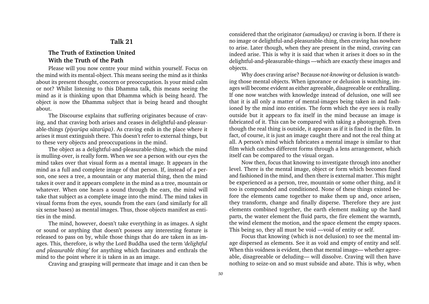## Talk 21

## <span id="page-50-0"></span>The Truth of Extinction United With the Truth of the Path

Please will you now centre your mind within yourself. Focus on the mind with its mental-object. This means seeing the mind as it thinks about its present thought, concern or preoccupation. Is your mind calm or not? Whilst listening to this Dhamma talk, this means seeing the mind as it is thinking upon that Dhamma which is being heard. The object is now the Dhamma subject that is being heard and thought about.

The Discourse explains that suffering originates because of craving, and that craving both arises and ceases in delightful-and-pleasurable-things (piyaråpa sàtaråpa). As craving ends in the place where it arises it must extinguish there. This doesn't refer to external things, but to these very objects and preoccupations in the mind.

The object as a delightful-and-pleasurable-thing, which the mind is mulling-over, is really form. When we see a person with our eyes the mind takes over that visual form as a mental image. It appears in the mind as a full and complete image of that person. If, instead of a person, one sees a tree, a mountain or any material thing, then the mind takes it over and it appears complete in the mind as a tree, mountain or whatever. When one hears a sound through the ears, the mind will take that subject as a complete image into the mind. The mind takes in visual forms from the eyes, sounds from the ears (and similarly for all six sense bases) as mental images. Thus, those objects manifest as entities in the mind.

The mind, however, doesn't take everything in as images. A sight or sound or anything that doesn't possess any interesting feature is released to pass on by, while those things that do are taken in as images. This, therefore, is why the Lord Buddha used the term 'delightful and pleasurable thing' for anything which fascinates and enthrals the mind to the point where it is taken in as an image.

Craving and grasping will permeate that image and it can then be

considered that the originator (samudaya) or craving is born. If there is no image or delightful-and-pleasurable-thing, then craving has nowhere to arise. Later though, when they are present in the mind, craving can indeed arise. This is why it is said that when it arises it does so in the delightful-and-pleasurable-things —which are exactly these images and objects.

Why does craving arise? Because not-knowing or delusion is watching those mental objects. When ignorance or delusion is watching, images will become evident as either agreeable, disagreeable or enthralling. If one now watches with knowledge instead of delusion, one will see that it is all only a matter of mental-images being taken in and fashioned by the mind into entities. The form which the eye sees is really outside but it appears to fix itself in the mind because an image is fabricated of it. This can be compared with taking a photograph. Even though the real thing is outside, it appears as if it is fixed in the film. In fact, of course, it is just an image caught there and not the real thing at all. A person's mind which fabricates a mental image is similar to that film which catches different forms through a lens arrangement, which itself can be compared to the visual organ.

Now then, focus that knowing to investigate through into another level. There is the mental image, object or form which becomes fixed and fashioned in the mind, and then there is external matter. This might be experienced as a person, tree, mountain or some other thing, and it too is compounded and conditioned. None of these things existed before the elements came together to make them up and, once arisen, they transform, change and finally disperse. Therefore they are just elements combined together, the earth element making up the hard parts, the water element the fluid parts, the fire element the warmth, the wind element the motion, and the space element the empty spaces. This being so, they all must be void  $\rightarrow$  void of entity or self.

Focus that knowing (which is not delusion) to see the mental image dispersed as elements. See it as void and empty of entity and self. When this voidness is evident, then that mental image—whether agreeable, disagreeable or deluding— will dissolve. Craving will then have nothing to seize-on and so must subside and abate. This is why, when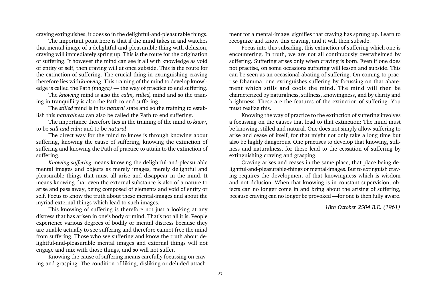craving extinguishes, it does so in the delightful-and-pleasurable things.

The important point here is that if the mind takes in and watches that mental image of a delightful-and-pleasurable thing with delusion, craving will immediately spring up. This is the route for the origination of suffering. If however the mind can see it all with knowledge as void of entity or self, then craving will at once subside. This is the route for the extinction of suffering. The crucial thing in extinguishing craving therefore lies with knowing. This training of the mind to develop knowledge is called the Path ( $m \alpha$ gga) — the way of practice to end suffering.

The knowing mind is also the calm, stilled, mind and so the training in tranquillity is also the Path to end suffering.

The stilled mind is in its natural state and so the training to establish this naturalness can also be called the Path to end suffering.

The importance therefore lies in the training of the mind to know, to be still and calm and to be natural.

The direct way for the mind to know is through knowing about suffering, knowing the cause of suffering, knowing the extinction of suffering and knowing the Path of practice to attain to the extinction of suffering.

Knowing suffering means knowing the delightful-and-pleasurable mental images and objects as merely images, merely delightful and pleasurable things that must all arise and disappear in the mind. It means knowing that even the external substance is also of a nature to arise and pass away, being composed of elements and void of entity or self. Focus to know the truth about these mental-images and about the myriad external things which lead to such images.

This knowing of suffering is therefore not just a looking at any distress that has arisen in one's body or mind. That's not all it is. People experience various degrees of bodily or mental distress because they are unable actually to see suffering and therefore cannot free the mind from suffering. Those who see suffering and know the truth about delightful-and-pleasurable mental images and external things will not engage and mix with those things, and so will not suffer.

Knowing the cause of suffering means carefully focussing on craving and grasping. The condition of liking, disliking or deluded attachment for a mental-image, signifies that craving has sprung up. Learn to recognize and know this craving, and it will then subside.

Focus into this subsiding, this extinction of suffering which one is encountering. In truth, we are not all continuously overwhelmed by suffering. Suffering arises only when craving is born. Even if one does not practise, on some occasions suffering will lessen and subside. This can be seen as an occasional abating of suffering. On coming to practise Dhamma, one extinguishes suffering by focussing on that abatement which stills and cools the mind. The mind will then be characterized by naturalness, stillness, knowingness, and by clarity and brightness. These are the features of the extinction of suffering. You must realize this.

Knowing the way of practice to the extinction of suffering involves a focussing on the causes that lead to that extinction: The mind must be knowing, stilled and natural. One does not simply allow suffering to arise and cease of itself, for that might not only take a long time but also be highly dangerous. One practises to develop that knowing, stillness and naturalness, for these lead to the cessation of suffering by extinguishing craving and grasping.

Craving arises and ceases in the same place, that place being delightful-and-pleasurable-things or mental-images. But to extinguish craving requires the development of that knowingness which is wisdom and not delusion. When that knowing is in constant supervision, objects can no longer come in and bring about the arising of suffering, because craving can no longer be provoked —for one is then fully aware.

18th October 2504 B.E. (1961)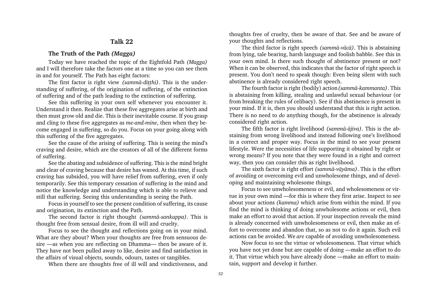## Talk 22

#### The Truth of the Path (Magga)

<span id="page-52-0"></span>Today we have reached the topic of the Eightfold Path (Magga) and I will therefore take the factors one at a time so you can see them in and for yourself. The Path has eight factors:

The first factor is right view (sammā-ditthi). This is the understanding of suffering, of the origination of suffering, of the extinction of suffering and of the path leading to the extinction of suffering.

See this suffering in your own self whenever you encounter it. Understand it then. Realize that these five aggregates arise at birth and then must grow old and die. This is their inevitable course. If you grasp and cling to these five aggregates as me-and-mine, then when they become engaged in suffering, so do you. Focus on your going along with this suffering of the five aggregates.

See the cause of the arising of suffering. This is seeing the mind's craving and desire, which are the creators of all of the different forms of suffering.

See the abating and subsidence of suffering. This is the mind bright and clear of craving because that desire has waned. At this time, if such craving has subsided, you will have relief from suffering, even if only temporarily. See this temporary cessation of suffering in the mind and notice the knowledge and understanding which is able to relieve and still that suffering. Seeing this understanding is seeing the Path.

Focus in yourself to see the present condition of suffering, its cause and origination, its extinction and the Path.

The second factor is right thought (sammà-sankappa). This is thought free from sensual desire, from ill will and cruelty.

Focus to see the thought and reflections going on in your mind. What are they about? When your thoughts are free from sensuous desire —as when you are reflecting on Dhamma— then be aware of it. They have not been pulled away to like, desire and find satisfaction in the affairs of visual objects, sounds, odours, tastes or tangibles.

When there are thoughts free of ill will and vindictiveness, and

thoughts free of cruelty, then be aware of that. See and be aware of your thoughts and reflections.

The third factor is right speech *(sammā-vācā)*. This is abstaining from lying, tale bearing, harsh language and foolish babble. See this in your own mind. Is there such thought of abstinence present or not? When it can be observed, this indicates that the factor of right speech is present. You don't need to speak though: Even being silent with such abstinence is already considered right speech.

The fourth factor is right (bodily) action (sammà-kammanta). This is abstaining from killing, stealing and unlawful sexual behaviour (or from breaking the rules of celibacy). See if this abstinence is present in your mind. If it is, then you should understand that this is right action. There is no need to do anything though, for the abstinence is already considered right action.

The fifth factor is right livelihood (sammà-àjiva). This is the abstaining from wrong livelihood and instead following one's livelihood in a correct and proper way. Focus in the mind to see your present lifestyle. Were the necessities of life supporting it obtained by right or wrong means? If you note that they were found in a right and correct way, then you can consider this as right livelihood.

The sixth factor is right effort (sammà-vàyàma). This is the effort of avoiding or overcoming evil and unwholesome things, and of developing and maintaining wholesome things.

Focus to see unwholesomeness or evil, and wholesomeness or virtue in your own mind —for this is where they first arise. Inspect to see about your actions (kamma) which arise from within the mind. If you find the mind is thinking of doing unwholesome actions or evil, then make an effort to avoid that action. If your inspection reveals the mind is already concerned with unwholesomeness or evil, then make an effort to overcome and abandon that, so as not to do it again. Such evil actions can be avoided. We are capable of avoiding unwholesomeness.

Now focus to see the virtue or wholesomeness. That virtue which you have not yet done but are capable of doing —make an effort to do it. That virtue which you have already done - make an effort to maintain, support and develop it further.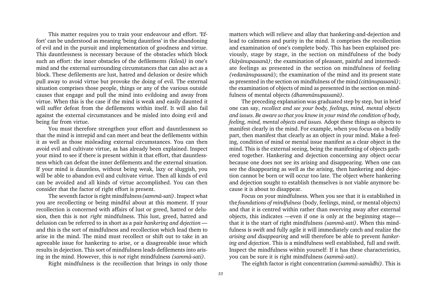This matter requires you to train your endeavour and effort. Effort' can be understood as meaning 'being dauntless' in the abandoning of evil and in the pursuit and implementation of goodness and virtue. This dauntlessness is necessary because of the obstacles which block such an effort: the inner obstacles of the defilements (kilesa) in one's mind and the external surrounding circumstances that can also act as a block. These defilements are lust, hatred and delusion or desire which pull away to avoid virtue but provoke the doing of evil. The external situation comprises those people, things or any of the various outside causes that engage and pull the mind into evildoing and away from virtue. When this is the case if the mind is weak and easily daunted it will suffer defeat from the defilements within itself. It will also fail against the external circumstances and be misled into doing evil and being far from virtue.

You must therefore strengthen your effort and dauntlessness so that the mind is intrepid and can meet and beat the defilements within it as well as those misleading external circumstances. You can then avoid evil and cultivate virtue, as has already been explained. Inspect your mind to see if there is present within it that effort, that dauntlessness which can defeat the inner defilements and the external situation. If your mind is dauntless, without being weak, lazy or sluggish, you will be able to abandon evil and cultivate virtue. Then all kinds of evil can be avoided and all kinds of virtue accomplished. You can then consider that the factor of right effort is present.

The seventh factor is right mindfulness (sammà-sati). Inspect what you are recollecting or being mindful about at this moment. If your recollection is concerned with affairs of lust or greed, hatred or delusion, then this is not right mindfulness. This lust, greed, hatred and delusion can be referred to in short as a pair hankering and dejection and this is the sort of mindfulness and recollection which lead them to arise in the mind. The mind must recollect or shift out to take in an agreeable issue for hankering to arise, or a disagreeable issue which results in dejection. This sort of mindfulness leads defilements into arising in the mind. However, this is not right mindfulness (sammà-sati).

Right mindfulness is the recollection that brings in only those

matters which will relieve and allay that hankering-and-dejection and lead to calmness and purity in the mind. It comprises the recollection and examination of one's complete body. This has been explained previously, stage by stage, in the section on mindfulness of the body (kàyànupassanà); the examination of pleasant, painful and intermediate feelings as presented in the section on mindfulness of feeling (vedanànupassanà); the examination of the mind and its present state as presented in the section on mindfulness of the mind (cittànupassanà); the examination of objects of mind as presented in the section on mindfulness of mental objects (dhammànupassanà).

The preceding explanation was graduated step by step, but in brief one can say, recollect and see your body, feelings, mind, mental objects and issues. Be aware so that you know in your mind the condition of body, feeling, mind, mental objects and issues. Adopt these things as objects to manifest clearly in the mind. For example, when you focus on a bodily part, then manifest that clearly as an object in your mind. Make a feeling, condition of mind or mental issue manifest as a clear object in the mind. This is the external seeing, being the manifesting of objects gathered together. Hankering and dejection concerning any object occur because one does not see its arising and disappearing. When one can see the disappearing as well as the arising, then hankering and dejection cannot be born or will occur too late. The object where hankering and dejection sought to establish themselves is not viable anymore because it is about to disappear.

Focus on your mindfulness. When you see that it is established in the foundations of mindfulness (body, feelings, mind, or mental objects) and that it is centred within rather than swerving away after external objects, this indicates —even if one is only at the beginning stage that it is the start of right mindfulness (sammà-sati). When this mindfulness is swift and fully agile it will immediately catch and realize the arising and disappearing and will therefore be able to prevent hankering and dejection. This is a mindfulness well established, full and swift. Inspect the mindfulness within yourself: If it has these characteristics, you can be sure it is right mindfulness (sammà-sati).

The eighth factor is right concentration (sammà-samàdhi). This is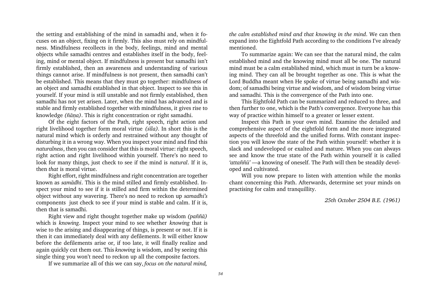the setting and establishing of the mind in samadhi and, when it focuses on an object, fixing on it firmly. This also must rely on mindfulness. Mindfulness recollects in the body, feelings, mind and mental objects while samadhi centres and establishes itself in the body, feeling, mind or mental object. If mindfulness is present but samadhi isn't firmly established, then an awareness and understanding of various things cannot arise. If mindfulness is not present, then samadhi can't be established. This means that they must go together: mindfulness of an object and samadhi established in that object. Inspect to see this in yourself. If your mind is still unstable and not firmly established, then samadhi has not yet arisen. Later, when the mind has advanced and is stable and firmly established together with mindfulness, it gives rise to knowledge (ñāna). This is right concentration or right samadhi.

Of the eight factors of the Path, right speech, right action and right livelihood together form moral virtue (sīla). In short this is the natural mind which is orderly and restrained without any thought of disturbing it in a wrong way. When you inspect your mind and find this naturalness, then you can consider that this is moral virtue: right speech, right action and right livelihood within yourself. There's no need to look for many things, just check to see if the mind is natural. If it is, then that is moral virtue.

Right effort, right mindfulness and right concentration are together known as samàdhi. This is the mind stilled and firmly established. Inspect your mind to see if it is stilled and firm within the determined object without any wavering. There's no need to reckon up samadhi's components just check to see if your mind is stable and calm. If it is, then that is samadhi.

Right view and right thought together make up wisdom ( $p\tilde{a}$  $\tilde{n}$  $\tilde{a}$ ) which is knowing. Inspect your mind to see whether knowing that is wise to the arising and disappearing of things, is present or not. If it is then it can immediately deal with any defilements. It will either know before the defilements arise or, if too late, it will finally realize and again quickly cut them out. This knowing is wisdom, and by seeing this single thing you won't need to reckon up all the composite factors.

If we summarize all of this we can say, focus on the natural mind,

the calm established mind and that knowing in the mind. We can then expand into the Eightfold Path according to the conditions Ive already mentioned.

To summarize again: We can see that the natural mind, the calm established mind and the knowing mind must all be one. The natural mind must be a calm established mind, which must in turn be a knowing mind. They can all be brought together as one. This is what the Lord Buddha meant when He spoke of virtue being samadhi and wisdom; of samadhi being virtue and wisdom, and of wisdom being virtue and samadhi. This is the convergence of the Path into one.

This Eightfold Path can be summarized and reduced to three, and then further to one, which is the Path's convergence. Everyone has this way of practice within himself to a greater or lesser extent.

Inspect this Path in your own mind. Examine the detailed and comprehensive aspect of the eightfold form and the more integrated aspects of the threefold and the unified forms. With constant inspection you will know the state of the Path within yourself: whether it is slack and undeveloped or exalted and mature. When you can always see and know the true state of the Path within yourself it is called 'attaññū' — a knowing of oneself. The Path will then be steadily developed and cultivated.

Will you now prepare to listen with attention while the monks chant concerning this Path. Afterwards, determine set your minds on practising for calm and tranquillity.

25th October 2504 B.E. (1961)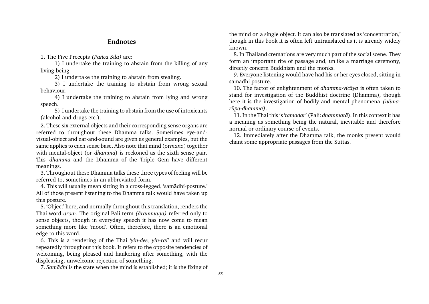#### Endnotes

<span id="page-55-0"></span>1. The Five Precepts (Pañca Sīla) are:

1) I undertake the training to abstain from the killing of any living being.

2) I undertake the training to abstain from stealing.

3) I undertake the training to abstain from wrong sexual behaviour.

4) I undertake the training to abstain from lying and wrong speech.

5) I undertake the training to abstain from the use of intoxicants (alcohol and drugs etc.).

2. These six external objects and their corresponding sense organs are referred to throughout these Dhamma talks. Sometimes eye-andvisual-object and ear-and-sound are given as general examples, but the same applies to each sense base. Also note that mind (or mano) together with mental-object (or dhamma) is reckoned as the sixth sense pair. This dhamma and the Dhamma of the Triple Gem have different meanings.

3. Throughout these Dhamma talks these three types of feeling will be referred to, sometimes in an abbreviated form.

4. This will usually mean sitting in a cross-legged, 'samādhi-posture.' All of those present listening to the Dhamma talk would have taken up this posture.

5. Object here, and normally throughout this translation, renders the Thai word arom. The original Pali term (arammana) referred only to sense objects, though in everyday speech it has now come to mean something more like 'mood'. Often, therefore, there is an emotional edge to this word.

6. This is a rendering of the Thai yin-dee, yin-rai and will recur repeatedly throughout this book. It refers to the opposite tendencies of welcoming, being pleased and hankering after something, with the displeasing, unwelcome rejection of something.

7. Samàdhi is the state when the mind is established; it is the fixing of

the mind on a single object. It can also be translated as 'concentration,' though in this book it is often left untranslated as it is already widely known.

8. In Thailand cremations are very much part of the social scene. They form an important rite of passage and, unlike a marriage ceremony, directly concern Buddhism and the monks.

9. Everyone listening would have had his or her eyes closed, sitting in samadhi posture.

10. The factor of enlightenment of dhamma-vicàya is often taken to stand for investigation of the Buddhist doctrine (Dhamma), though here it is the investigation of bodily and mental phenomena (nāmaråpa-dhamma).

11. In the Thai this is 'tamadar' (Pali: dhammatā). In this context it has a meaning as something being the natural, inevitable and therefore normal or ordinary course of events.

12. Immediately after the Dhamma talk, the monks present would chant some appropriate passages from the Suttas.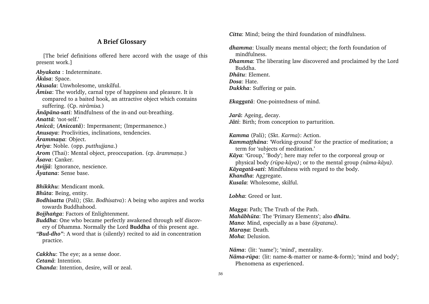## A Brief Glossary

<span id="page-56-0"></span> [The brief definitions offered here accord with the usage of this present work.]

Abyakata : Indeterminate.

âkàsa: Space.

Akusala: Unwholesome, unskilful.

 $\overline{A}$ misa: The worldly, carnal type of happiness and pleasure. It is compared to a baited hook, an attractive object which contains suffering. (Cp. niràmisa.) ânàpàna-sati: Mindfulness of the in-and out-breathing.

Anattā: 'not-self.'

Aniccà; (Aniccatà): Impermanent; (Impermanence.) Anusaya: Proclivities, inclinations, tendencies.

Ārammana: Object.

Ariya: Noble. (opp. putthujjana.)

Arom (Thai): Mental object, preoccupation. (cp. *ārammana.*) âsava: Canker.

Avijjà: Ignorance, nescience. âyatana: Sense base.

Bhikkhu: Mendicant monk.

Bhåta: Being, entity.

Bodhisatta (Pali); (Skt. Bodhisatva): A being who aspires and works towards Buddhahood.

Bojjhanga: Factors of Enlightenment.

Buddha: One who became perfectly awakened through self discovery of Dhamma. Normally the Lord Buddha of this present age.

"Bud-dho": A word that is (silently) recited to aid in concentration practice.

Cakkhu: The eye; as a sense door. Cetanà: Intention. Chanda: Intention, desire, will or zeal. Citta: Mind; being the third foundation of mindfulness.

dhamma: Usually means mental object; the forth foundation of mindfulness. Dhamma: The liberating law discovered and proclaimed by the Lord Buddha. Dhàtu: Element. Dosa: Hate. Dukkha: Suffering or pain.

Ekaggatà: One-pointedness of mind.

Jarà: Ageing, decay. Jāti: Birth; from conception to parturition.

Kamma (Pali); (Skt. Karma): Action.

Kammatthāna: 'Working-ground' for the practice of meditation; a term for 'subjects of meditation.'

 $Kāya: 'Group,' 'Body'; here may refer to the corporeal group or$ physical body (råpa-kàya); or to the mental group (nàma-kàya). Kàyagatà-sati: Mindfulness with regard to the body. Khandha: Aggregate. Kusala: Wholesome, skilful.

Lobha: Greed or lust.

Magga: Path; The Truth of the Path. Mahābhūta: The 'Primary Elements'; also dhātu. Mano: Mind, especially as a base (*āyatana*). Marana: Death. Moha: Delusion.

Nāma: (lit: 'name'); 'mind', mentality. Nāma-rūpa: (lit: name-&-matter or name-&-form); 'mind and body'; Phenomena as experienced.